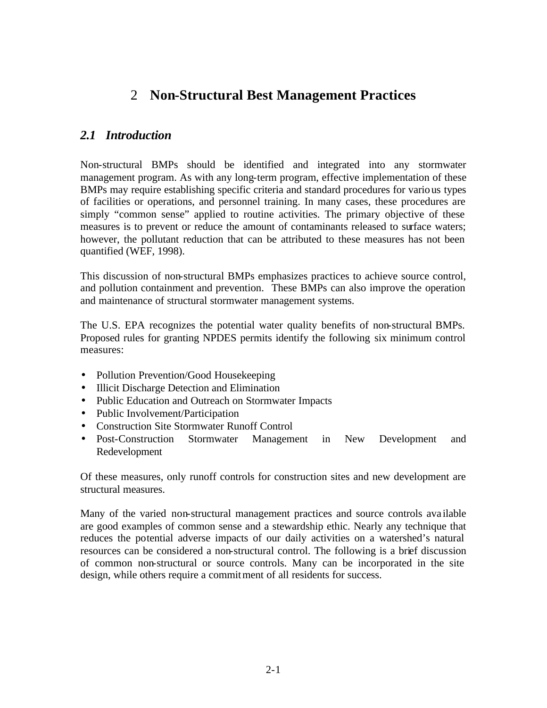# 2 **Non-Structural Best Management Practices**

## *2.1 Introduction*

Non-structural BMPs should be identified and integrated into any stormwater management program. As with any long-term program, effective implementation of these BMPs may require establishing specific criteria and standard procedures for various types of facilities or operations, and personnel training. In many cases, these procedures are simply "common sense" applied to routine activities. The primary objective of these measures is to prevent or reduce the amount of contaminants released to surface waters; however, the pollutant reduction that can be attributed to these measures has not been quantified (WEF, 1998).

This discussion of non-structural BMPs emphasizes practices to achieve source control, and pollution containment and prevention. These BMPs can also improve the operation and maintenance of structural stormwater management systems.

The U.S. EPA recognizes the potential water quality benefits of non-structural BMPs. Proposed rules for granting NPDES permits identify the following six minimum control measures:

- Pollution Prevention/Good Housekeeping
- Illicit Discharge Detection and Elimination
- Public Education and Outreach on Stormwater Impacts
- Public Involvement/Participation
- Construction Site Stormwater Runoff Control
- Post-Construction Stormwater Management in New Development and Redevelopment

Of these measures, only runoff controls for construction sites and new development are structural measures.

Many of the varied non-structural management practices and source controls ava ilable are good examples of common sense and a stewardship ethic. Nearly any technique that reduces the potential adverse impacts of our daily activities on a watershed's natural resources can be considered a non-structural control. The following is a brief discussion of common non-structural or source controls. Many can be incorporated in the site design, while others require a commitment of all residents for success.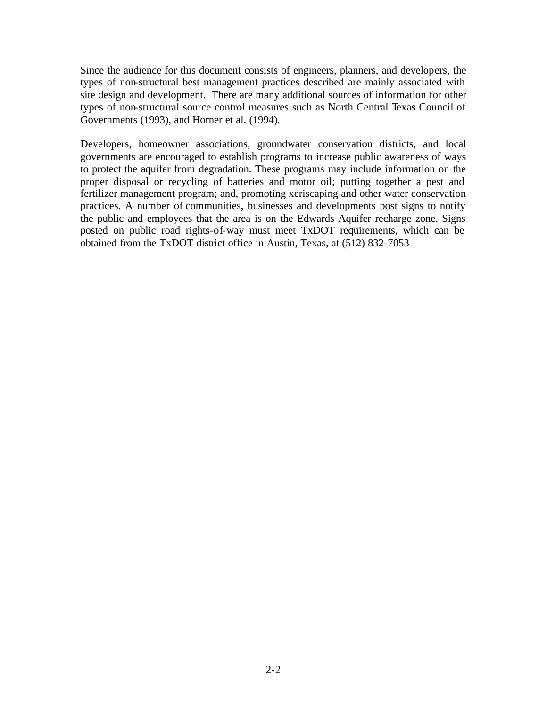Since the audience for this document consists of engineers, planners, and developers, the types of non-structural best management practices described are mainly associated with site design and development. There are many additional sources of information for other types of non-structural source control measures such as North Central Texas Council of Governments (1993), and Horner et al. (1994).

Developers, homeowner associations, groundwater conservation districts, and local governments are encouraged to establish programs to increase public awareness of ways to protect the aquifer from degradation. These programs may include information on the proper disposal or recycling of batteries and motor oil; putting together a pest and fertilizer management program; and, promoting xeriscaping and other water conservation practices. A number of communities, businesses and developments post signs to notify the public and employees that the area is on the Edwards Aquifer recharge zone. Signs posted on public road rights-of-way must meet TxDOT requirements, which can be obtained from the TxDOT district office in Austin, Texas, at (512) 832-7053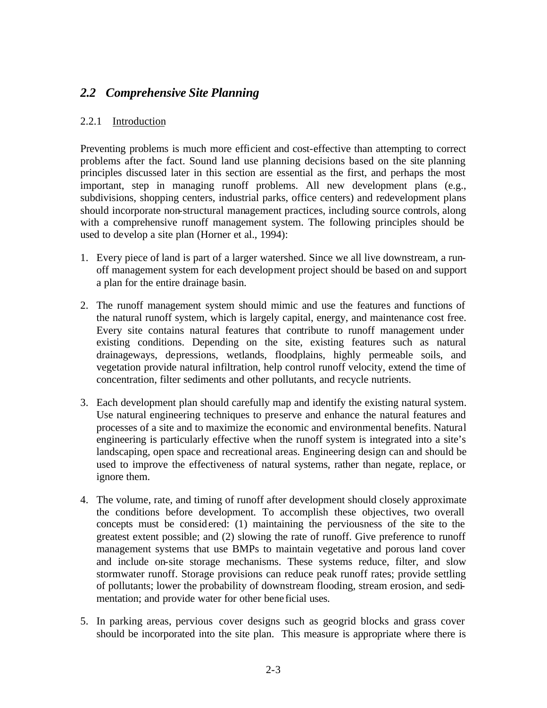## *2.2 Comprehensive Site Planning*

### 2.2.1 Introduction

Preventing problems is much more efficient and cost-effective than attempting to correct problems after the fact. Sound land use planning decisions based on the site planning principles discussed later in this section are essential as the first, and perhaps the most important, step in managing runoff problems. All new development plans (e.g., subdivisions, shopping centers, industrial parks, office centers) and redevelopment plans should incorporate non-structural management practices, including source controls, along with a comprehensive runoff management system. The following principles should be used to develop a site plan (Horner et al., 1994):

- 1. Every piece of land is part of a larger watershed. Since we all live downstream, a runoff management system for each development project should be based on and support a plan for the entire drainage basin.
- 2. The runoff management system should mimic and use the features and functions of the natural runoff system, which is largely capital, energy, and maintenance cost free. Every site contains natural features that contribute to runoff management under existing conditions. Depending on the site, existing features such as natural drainageways, depressions, wetlands, floodplains, highly permeable soils, and vegetation provide natural infiltration, help control runoff velocity, extend the time of concentration, filter sediments and other pollutants, and recycle nutrients.
- 3. Each development plan should carefully map and identify the existing natural system. Use natural engineering techniques to preserve and enhance the natural features and processes of a site and to maximize the economic and environmental benefits. Natural engineering is particularly effective when the runoff system is integrated into a site's landscaping, open space and recreational areas. Engineering design can and should be used to improve the effectiveness of natural systems, rather than negate, replace, or ignore them.
- 4. The volume, rate, and timing of runoff after development should closely approximate the conditions before development. To accomplish these objectives, two overall concepts must be considered: (1) maintaining the perviousness of the site to the greatest extent possible; and (2) slowing the rate of runoff. Give preference to runoff management systems that use BMPs to maintain vegetative and porous land cover and include on-site storage mechanisms. These systems reduce, filter, and slow stormwater runoff. Storage provisions can reduce peak runoff rates; provide settling of pollutants; lower the probability of downstream flooding, stream erosion, and sedimentation; and provide water for other bene ficial uses.
- 5. In parking areas, pervious cover designs such as geogrid blocks and grass cover should be incorporated into the site plan. This measure is appropriate where there is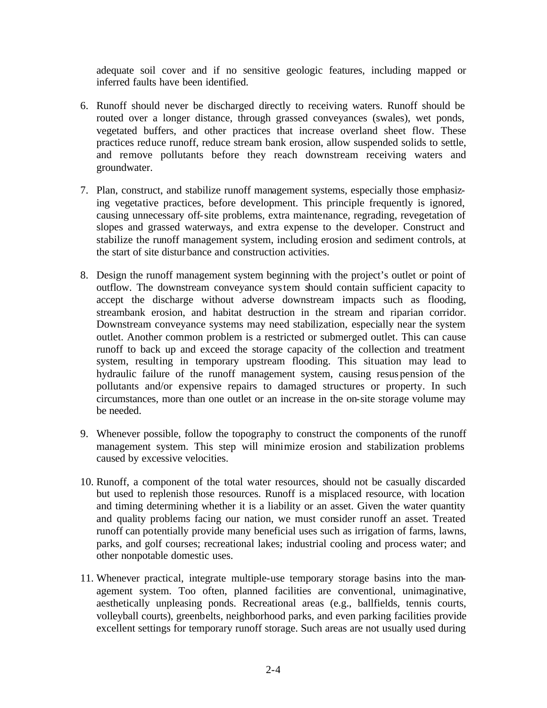adequate soil cover and if no sensitive geologic features, including mapped or inferred faults have been identified.

- 6. Runoff should never be discharged directly to receiving waters. Runoff should be routed over a longer distance, through grassed conveyances (swales), wet ponds, vegetated buffers, and other practices that increase overland sheet flow. These practices reduce runoff, reduce stream bank erosion, allow suspended solids to settle, and remove pollutants before they reach downstream receiving waters and groundwater.
- 7. Plan, construct, and stabilize runoff management systems, especially those emphasizing vegetative practices, before development. This principle frequently is ignored, causing unnecessary off-site problems, extra maintenance, regrading, revegetation of slopes and grassed waterways, and extra expense to the developer. Construct and stabilize the runoff management system, including erosion and sediment controls, at the start of site disturbance and construction activities.
- 8. Design the runoff management system beginning with the project's outlet or point of outflow. The downstream conveyance system should contain sufficient capacity to accept the discharge without adverse downstream impacts such as flooding, streambank erosion, and habitat destruction in the stream and riparian corridor. Downstream conveyance systems may need stabilization, especially near the system outlet. Another common problem is a restricted or submerged outlet. This can cause runoff to back up and exceed the storage capacity of the collection and treatment system, resulting in temporary upstream flooding. This situation may lead to hydraulic failure of the runoff management system, causing resuspension of the pollutants and/or expensive repairs to damaged structures or property. In such circumstances, more than one outlet or an increase in the on-site storage volume may be needed.
- 9. Whenever possible, follow the topography to construct the components of the runoff management system. This step will minimize erosion and stabilization problems caused by excessive velocities.
- 10. Runoff, a component of the total water resources, should not be casually discarded but used to replenish those resources. Runoff is a misplaced resource, with location and timing determining whether it is a liability or an asset. Given the water quantity and quality problems facing our nation, we must consider runoff an asset. Treated runoff can potentially provide many beneficial uses such as irrigation of farms, lawns, parks, and golf courses; recreational lakes; industrial cooling and process water; and other nonpotable domestic uses.
- 11. Whenever practical, integrate multiple-use temporary storage basins into the management system. Too often, planned facilities are conventional, unimaginative, aesthetically unpleasing ponds. Recreational areas (e.g., ballfields, tennis courts, volleyball courts), greenbelts, neighborhood parks, and even parking facilities provide excellent settings for temporary runoff storage. Such areas are not usually used during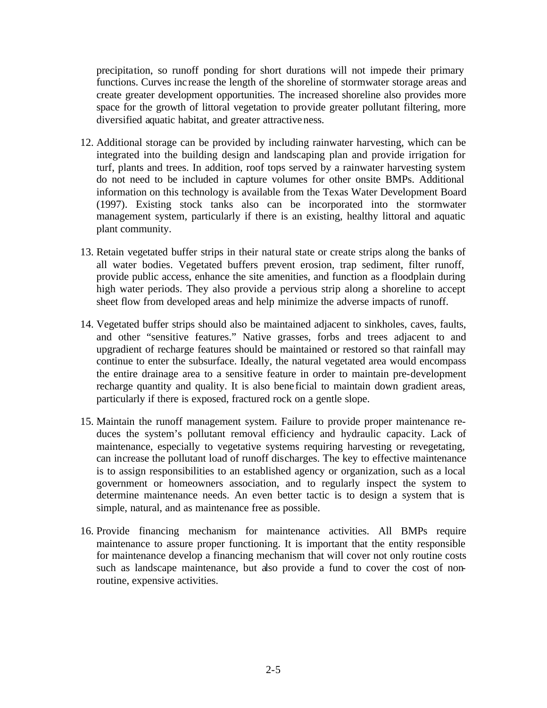precipitation, so runoff ponding for short durations will not impede their primary functions. Curves inc rease the length of the shoreline of stormwater storage areas and create greater development opportunities. The increased shoreline also provides more space for the growth of littoral vegetation to provide greater pollutant filtering, more diversified aquatic habitat, and greater attractiveness.

- 12. Additional storage can be provided by including rainwater harvesting, which can be integrated into the building design and landscaping plan and provide irrigation for turf, plants and trees. In addition, roof tops served by a rainwater harvesting system do not need to be included in capture volumes for other onsite BMPs. Additional information on this technology is available from the Texas Water Development Board (1997). Existing stock tanks also can be incorporated into the stormwater management system, particularly if there is an existing, healthy littoral and aquatic plant community.
- 13. Retain vegetated buffer strips in their natural state or create strips along the banks of all water bodies. Vegetated buffers prevent erosion, trap sediment, filter runoff, provide public access, enhance the site amenities, and function as a floodplain during high water periods. They also provide a pervious strip along a shoreline to accept sheet flow from developed areas and help minimize the adverse impacts of runoff.
- 14. Vegetated buffer strips should also be maintained adjacent to sinkholes, caves, faults, and other "sensitive features." Native grasses, forbs and trees adjacent to and upgradient of recharge features should be maintained or restored so that rainfall may continue to enter the subsurface. Ideally, the natural vegetated area would encompass the entire drainage area to a sensitive feature in order to maintain pre-development recharge quantity and quality. It is also bene ficial to maintain down gradient areas, particularly if there is exposed, fractured rock on a gentle slope.
- 15. Maintain the runoff management system. Failure to provide proper maintenance reduces the system's pollutant removal efficiency and hydraulic capacity. Lack of maintenance, especially to vegetative systems requiring harvesting or revegetating, can increase the pollutant load of runoff discharges. The key to effective maintenance is to assign responsibilities to an established agency or organization, such as a local government or homeowners association, and to regularly inspect the system to determine maintenance needs. An even better tactic is to design a system that is simple, natural, and as maintenance free as possible.
- 16. Provide financing mechanism for maintenance activities. All BMPs require maintenance to assure proper functioning. It is important that the entity responsible for maintenance develop a financing mechanism that will cover not only routine costs such as landscape maintenance, but also provide a fund to cover the cost of nonroutine, expensive activities.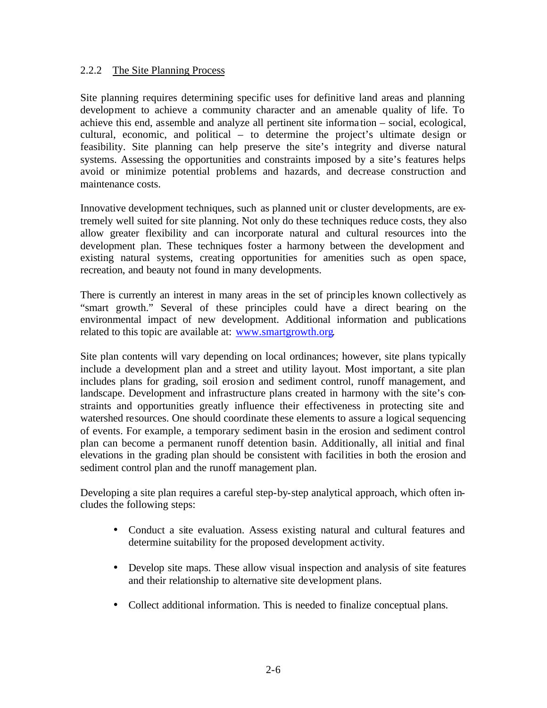### 2.2.2 The Site Planning Process

Site planning requires determining specific uses for definitive land areas and planning development to achieve a community character and an amenable quality of life. To achieve this end, assemble and analyze all pertinent site informa tion – social, ecological, cultural, economic, and political – to determine the project's ultimate design or feasibility. Site planning can help preserve the site's integrity and diverse natural systems. Assessing the opportunities and constraints imposed by a site's features helps avoid or minimize potential problems and hazards, and decrease construction and maintenance costs.

Innovative development techniques, such as planned unit or cluster developments, are extremely well suited for site planning. Not only do these techniques reduce costs, they also allow greater flexibility and can incorporate natural and cultural resources into the development plan. These techniques foster a harmony between the development and existing natural systems, creating opportunities for amenities such as open space, recreation, and beauty not found in many developments.

There is currently an interest in many areas in the set of principles known collectively as "smart growth." Several of these principles could have a direct bearing on the environmental impact of new development. Additional information and publications related to this topic are available at: www.smartgrowth.org.

Site plan contents will vary depending on local ordinances; however, site plans typically include a development plan and a street and utility layout. Most important, a site plan includes plans for grading, soil erosion and sediment control, runoff management, and landscape. Development and infrastructure plans created in harmony with the site's constraints and opportunities greatly influence their effectiveness in protecting site and watershed resources. One should coordinate these elements to assure a logical sequencing of events. For example, a temporary sediment basin in the erosion and sediment control plan can become a permanent runoff detention basin. Additionally, all initial and final elevations in the grading plan should be consistent with facilities in both the erosion and sediment control plan and the runoff management plan.

Developing a site plan requires a careful step-by-step analytical approach, which often includes the following steps:

- Conduct a site evaluation. Assess existing natural and cultural features and determine suitability for the proposed development activity.
- Develop site maps. These allow visual inspection and analysis of site features and their relationship to alternative site development plans.
- Collect additional information. This is needed to finalize conceptual plans.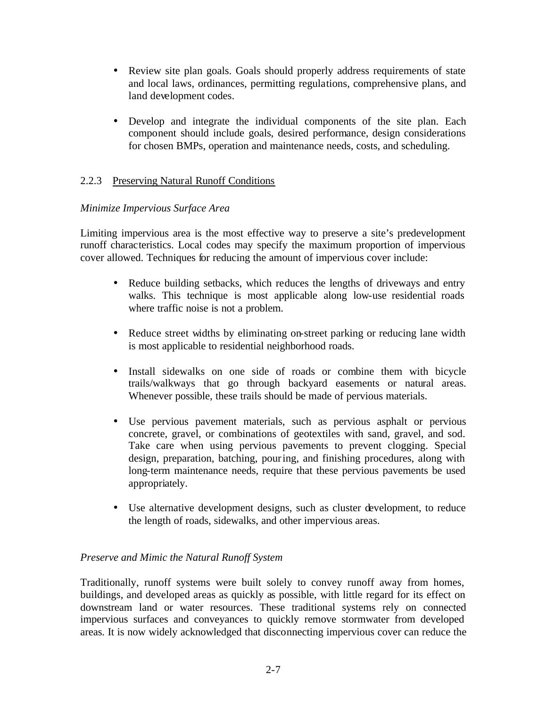- Review site plan goals. Goals should properly address requirements of state and local laws, ordinances, permitting regulations, comprehensive plans, and land development codes.
- Develop and integrate the individual components of the site plan. Each component should include goals, desired performance, design considerations for chosen BMPs, operation and maintenance needs, costs, and scheduling.

## 2.2.3 Preserving Natural Runoff Conditions

## *Minimize Impervious Surface Area*

Limiting impervious area is the most effective way to preserve a site's predevelopment runoff characteristics. Local codes may specify the maximum proportion of impervious cover allowed. Techniques for reducing the amount of impervious cover include:

- Reduce building setbacks, which reduces the lengths of driveways and entry walks. This technique is most applicable along low-use residential roads where traffic noise is not a problem.
- Reduce street widths by eliminating on-street parking or reducing lane width is most applicable to residential neighborhood roads.
- Install sidewalks on one side of roads or combine them with bicycle trails/walkways that go through backyard easements or natural areas. Whenever possible, these trails should be made of pervious materials.
- Use pervious pavement materials, such as pervious asphalt or pervious concrete, gravel, or combinations of geotextiles with sand, gravel, and sod. Take care when using pervious pavements to prevent clogging. Special design, preparation, batching, pouring, and finishing procedures, along with long-term maintenance needs, require that these pervious pavements be used appropriately.
- Use alternative development designs, such as cluster development, to reduce the length of roads, sidewalks, and other impervious areas.

## *Preserve and Mimic the Natural Runoff System*

Traditionally, runoff systems were built solely to convey runoff away from homes, buildings, and developed areas as quickly as possible, with little regard for its effect on downstream land or water resources. These traditional systems rely on connected impervious surfaces and conveyances to quickly remove stormwater from developed areas. It is now widely acknowledged that disconnecting impervious cover can reduce the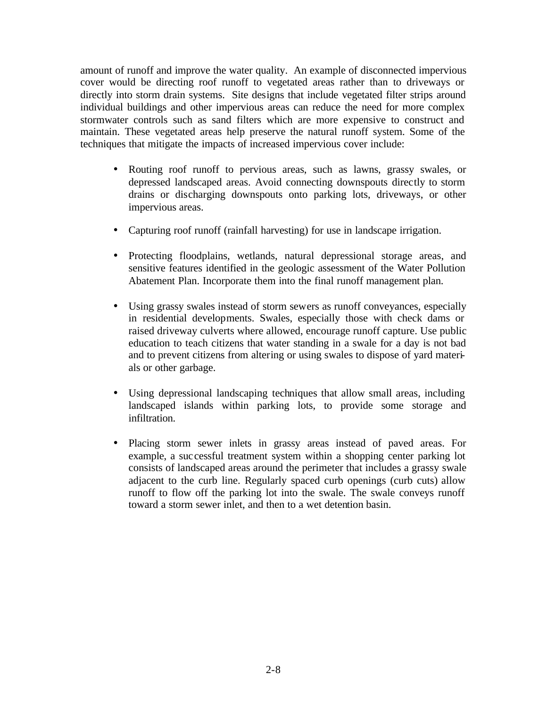amount of runoff and improve the water quality. An example of disconnected impervious cover would be directing roof runoff to vegetated areas rather than to driveways or directly into storm drain systems. Site designs that include vegetated filter strips around individual buildings and other impervious areas can reduce the need for more complex stormwater controls such as sand filters which are more expensive to construct and maintain. These vegetated areas help preserve the natural runoff system. Some of the techniques that mitigate the impacts of increased impervious cover include:

- Routing roof runoff to pervious areas, such as lawns, grassy swales, or depressed landscaped areas. Avoid connecting downspouts directly to storm drains or discharging downspouts onto parking lots, driveways, or other impervious areas.
- Capturing roof runoff (rainfall harvesting) for use in landscape irrigation.
- Protecting floodplains, wetlands, natural depressional storage areas, and sensitive features identified in the geologic assessment of the Water Pollution Abatement Plan. Incorporate them into the final runoff management plan.
- Using grassy swales instead of storm sewers as runoff conveyances, especially in residential developments. Swales, especially those with check dams or raised driveway culverts where allowed, encourage runoff capture. Use public education to teach citizens that water standing in a swale for a day is not bad and to prevent citizens from altering or using swales to dispose of yard materials or other garbage.
- Using depressional landscaping techniques that allow small areas, including landscaped islands within parking lots, to provide some storage and infiltration.
- Placing storm sewer inlets in grassy areas instead of paved areas. For example, a suc cessful treatment system within a shopping center parking lot consists of landscaped areas around the perimeter that includes a grassy swale adjacent to the curb line. Regularly spaced curb openings (curb cuts) allow runoff to flow off the parking lot into the swale. The swale conveys runoff toward a storm sewer inlet, and then to a wet detention basin.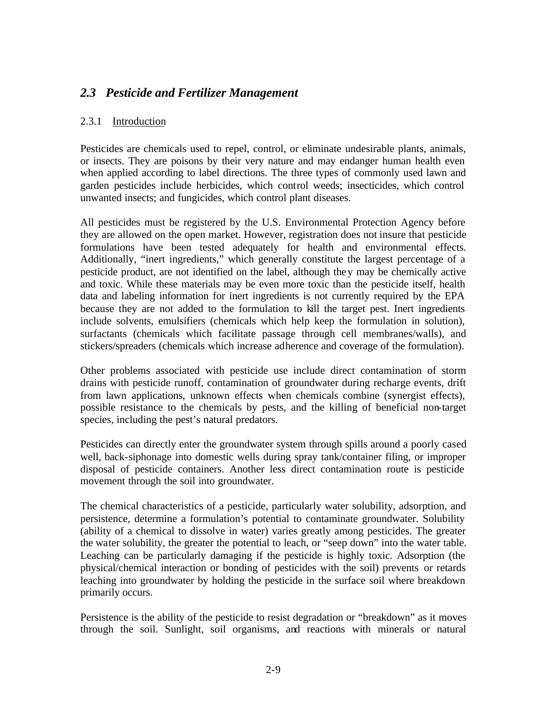# *2.3 Pesticide and Fertilizer Management*

## 2.3.1 Introduction

Pesticides are chemicals used to repel, control, or eliminate undesirable plants, animals, or insects. They are poisons by their very nature and may endanger human health even when applied according to label directions. The three types of commonly used lawn and garden pesticides include herbicides, which control weeds; insecticides, which control unwanted insects; and fungicides, which control plant diseases.

All pesticides must be registered by the U.S. Environmental Protection Agency before they are allowed on the open market. However, registration does not insure that pesticide formulations have been tested adequately for health and environmental effects. Additionally, "inert ingredients," which generally constitute the largest percentage of a pesticide product, are not identified on the label, although they may be chemically active and toxic. While these materials may be even more toxic than the pesticide itself, health data and labeling information for inert ingredients is not currently required by the EPA because they are not added to the formulation to kill the target pest. Inert ingredients include solvents, emulsifiers (chemicals which help keep the formulation in solution), surfactants (chemicals which facilitate passage through cell membranes/walls), and stickers/spreaders (chemicals which increase adherence and coverage of the formulation).

Other problems associated with pesticide use include direct contamination of storm drains with pesticide runoff, contamination of groundwater during recharge events, drift from lawn applications, unknown effects when chemicals combine (synergist effects), possible resistance to the chemicals by pests, and the killing of beneficial non-target species, including the pest's natural predators.

Pesticides can directly enter the groundwater system through spills around a poorly cased well, back-siphonage into domestic wells during spray tank/container filing, or improper disposal of pesticide containers. Another less direct contamination route is pesticide movement through the soil into groundwater.

The chemical characteristics of a pesticide, particularly water solubility, adsorption, and persistence, determine a formulation's potential to contaminate groundwater. Solubility (ability of a chemical to dissolve in water) varies greatly among pesticides. The greater the water solubility, the greater the potential to leach, or "seep down" into the water table. Leaching can be particularly damaging if the pesticide is highly toxic. Adsorption (the physical/chemical interaction or bonding of pesticides with the soil) prevents or retards leaching into groundwater by holding the pesticide in the surface soil where breakdown primarily occurs.

Persistence is the ability of the pesticide to resist degradation or "breakdown" as it moves through the soil. Sunlight, soil organisms, and reactions with minerals or natural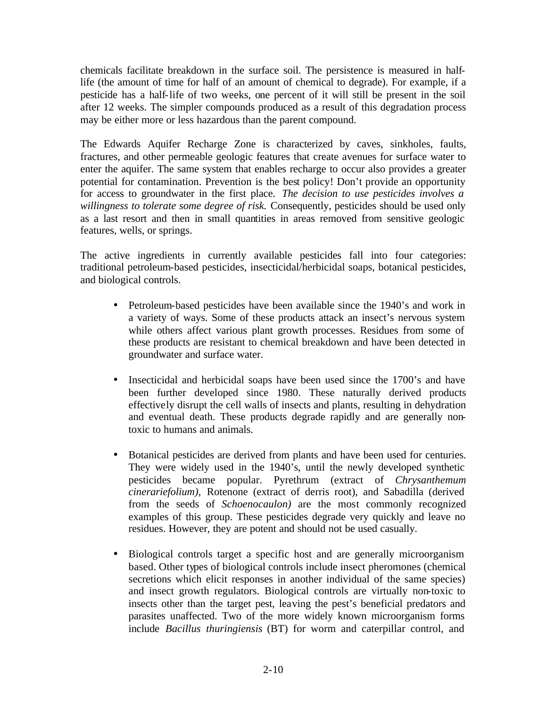chemicals facilitate breakdown in the surface soil. The persistence is measured in halflife (the amount of time for half of an amount of chemical to degrade). For example, if a pesticide has a half-life of two weeks, one percent of it will still be present in the soil after 12 weeks. The simpler compounds produced as a result of this degradation process may be either more or less hazardous than the parent compound.

The Edwards Aquifer Recharge Zone is characterized by caves, sinkholes, faults, fractures, and other permeable geologic features that create avenues for surface water to enter the aquifer. The same system that enables recharge to occur also provides a greater potential for contamination. Prevention is the best policy! Don't provide an opportunity for access to groundwater in the first place. *The decision to use pesticides involves a willingness to tolerate some degree of risk.* Consequently, pesticides should be used only as a last resort and then in small quantities in areas removed from sensitive geologic features, wells, or springs.

The active ingredients in currently available pesticides fall into four categories: traditional petroleum-based pesticides, insecticidal/herbicidal soaps, botanical pesticides, and biological controls.

- Petroleum-based pesticides have been available since the 1940's and work in a variety of ways. Some of these products attack an insect's nervous system while others affect various plant growth processes. Residues from some of these products are resistant to chemical breakdown and have been detected in groundwater and surface water.
- Insecticidal and herbicidal soaps have been used since the 1700's and have been further developed since 1980. These naturally derived products effectively disrupt the cell walls of insects and plants, resulting in dehydration and eventual death. These products degrade rapidly and are generally nontoxic to humans and animals.
- Botanical pesticides are derived from plants and have been used for centuries. They were widely used in the 1940's, until the newly developed synthetic pesticides became popular. Pyrethrum (extract of *Chrysanthemum cinerariefolium),* Rotenone (extract of derris root), and Sabadilla (derived from the seeds of *Schoenocaulon)* are the most commonly recognized examples of this group. These pesticides degrade very quickly and leave no residues. However, they are potent and should not be used casually.
- Biological controls target a specific host and are generally microorganism based. Other types of biological controls include insect pheromones (chemical secretions which elicit responses in another individual of the same species) and insect growth regulators. Biological controls are virtually non-toxic to insects other than the target pest, leaving the pest's beneficial predators and parasites unaffected. Two of the more widely known microorganism forms include *Bacillus thuringiensis* (BT) for worm and caterpillar control, and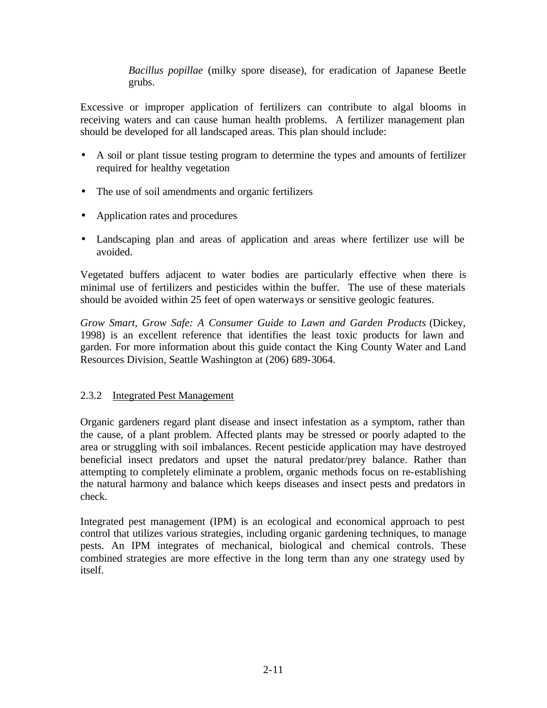*Bacillus popillae* (milky spore disease), for eradication of Japanese Beetle grubs.

Excessive or improper application of fertilizers can contribute to algal blooms in receiving waters and can cause human health problems. A fertilizer management plan should be developed for all landscaped areas. This plan should include:

- A soil or plant tissue testing program to determine the types and amounts of fertilizer required for healthy vegetation
- The use of soil amendments and organic fertilizers
- Application rates and procedures
- Landscaping plan and areas of application and areas where fertilizer use will be avoided.

Vegetated buffers adjacent to water bodies are particularly effective when there is minimal use of fertilizers and pesticides within the buffer. The use of these materials should be avoided within 25 feet of open waterways or sensitive geologic features.

*Grow Smart, Grow Safe: A Consumer Guide to Lawn and Garden Products* (Dickey, 1998) is an excellent reference that identifies the least toxic products for lawn and garden. For more information about this guide contact the King County Water and Land Resources Division, Seattle Washington at (206) 689-3064.

## 2.3.2 Integrated Pest Management

Organic gardeners regard plant disease and insect infestation as a symptom, rather than the cause, of a plant problem. Affected plants may be stressed or poorly adapted to the area or struggling with soil imbalances. Recent pesticide application may have destroyed beneficial insect predators and upset the natural predator/prey balance. Rather than attempting to completely eliminate a problem, organic methods focus on re-establishing the natural harmony and balance which keeps diseases and insect pests and predators in check.

Integrated pest management (IPM) is an ecological and economical approach to pest control that utilizes various strategies, including organic gardening techniques, to manage pests. An IPM integrates of mechanical, biological and chemical controls. These combined strategies are more effective in the long term than any one strategy used by itself.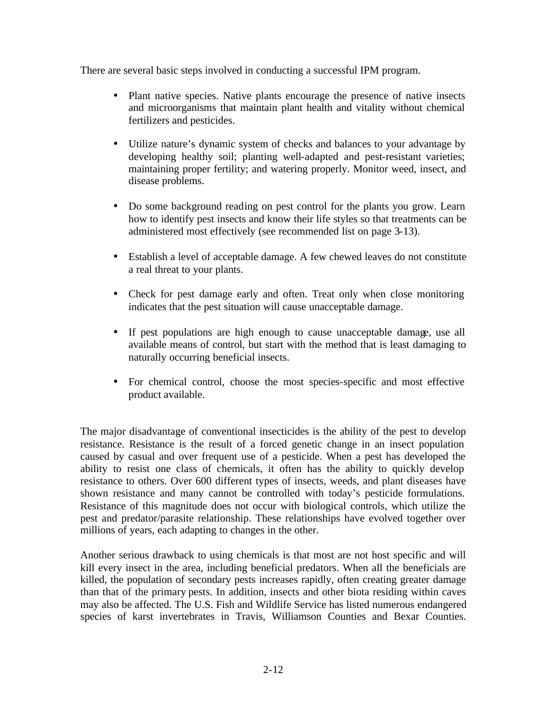There are several basic steps involved in conducting a successful IPM program.

- Plant native species. Native plants encourage the presence of native insects and microorganisms that maintain plant health and vitality without chemical fertilizers and pesticides.
- Utilize nature's dynamic system of checks and balances to your advantage by developing healthy soil; planting well-adapted and pest-resistant varieties; maintaining proper fertility; and watering properly. Monitor weed, insect, and disease problems.
- Do some background reading on pest control for the plants you grow. Learn how to identify pest insects and know their life styles so that treatments can be administered most effectively (see recommended list on page 3-13).
- Establish a level of acceptable damage. A few chewed leaves do not constitute a real threat to your plants.
- Check for pest damage early and often. Treat only when close monitoring indicates that the pest situation will cause unacceptable damage.
- If pest populations are high enough to cause unacceptable damage, use all available means of control, but start with the method that is least damaging to naturally occurring beneficial insects.
- For chemical control, choose the most species-specific and most effective product available.

The major disadvantage of conventional insecticides is the ability of the pest to develop resistance. Resistance is the result of a forced genetic change in an insect population caused by casual and over frequent use of a pesticide. When a pest has developed the ability to resist one class of chemicals, it often has the ability to quickly develop resistance to others. Over 600 different types of insects, weeds, and plant diseases have shown resistance and many cannot be controlled with today's pesticide formulations. Resistance of this magnitude does not occur with biological controls, which utilize the pest and predator/parasite relationship. These relationships have evolved together over millions of years, each adapting to changes in the other.

Another serious drawback to using chemicals is that most are not host specific and will kill every insect in the area, including beneficial predators. When all the beneficials are killed, the population of secondary pests increases rapidly, often creating greater damage than that of the primary pests. In addition, insects and other biota residing within caves may also be affected. The U.S. Fish and Wildlife Service has listed numerous endangered species of karst invertebrates in Travis, Williamson Counties and Bexar Counties.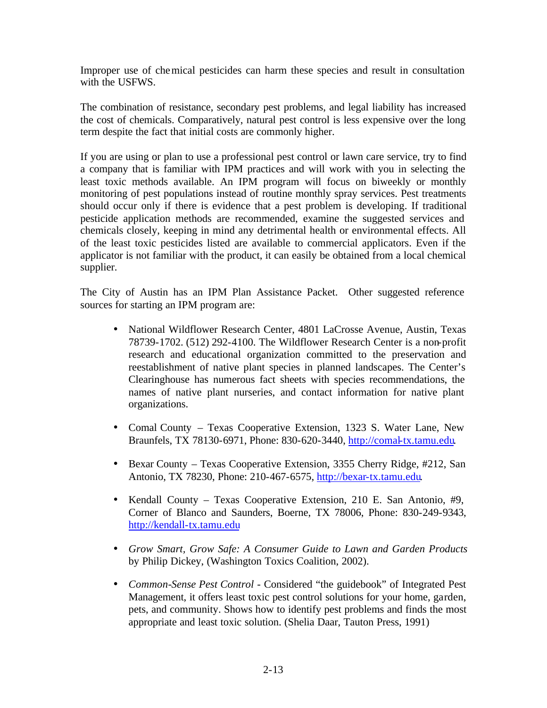Improper use of chemical pesticides can harm these species and result in consultation with the USFWS.

The combination of resistance, secondary pest problems, and legal liability has increased the cost of chemicals. Comparatively, natural pest control is less expensive over the long term despite the fact that initial costs are commonly higher.

If you are using or plan to use a professional pest control or lawn care service, try to find a company that is familiar with IPM practices and will work with you in selecting the least toxic methods available. An IPM program will focus on biweekly or monthly monitoring of pest populations instead of routine monthly spray services. Pest treatments should occur only if there is evidence that a pest problem is developing. If traditional pesticide application methods are recommended, examine the suggested services and chemicals closely, keeping in mind any detrimental health or environmental effects. All of the least toxic pesticides listed are available to commercial applicators. Even if the applicator is not familiar with the product, it can easily be obtained from a local chemical supplier.

The City of Austin has an IPM Plan Assistance Packet. Other suggested reference sources for starting an IPM program are:

- National Wildflower Research Center, 4801 LaCrosse Avenue, Austin, Texas 78739-1702. (512) 292-4100. The Wildflower Research Center is a non-profit research and educational organization committed to the preservation and reestablishment of native plant species in planned landscapes. The Center's Clearinghouse has numerous fact sheets with species recommendations, the names of native plant nurseries, and contact information for native plant organizations.
- Comal County Texas Cooperative Extension, 1323 S. Water Lane, New Braunfels, TX 78130-6971, Phone: 830-620-3440, http://comal-tx.tamu.edu.
- Bexar County Texas Cooperative Extension, 3355 Cherry Ridge, #212, San Antonio, TX 78230, Phone: 210-467-6575, http://bexar-tx.tamu.edu.
- Kendall County Texas Cooperative Extension, 210 E. San Antonio, #9, Corner of Blanco and Saunders, Boerne, TX 78006, Phone: 830-249-9343, http://kendall-tx.tamu.edu
- *Grow Smart, Grow Safe: A Consumer Guide to Lawn and Garden Products* by Philip Dickey, (Washington Toxics Coalition, 2002).
- *Common-Sense Pest Control* Considered "the guidebook" of Integrated Pest Management, it offers least toxic pest control solutions for your home, garden, pets, and community. Shows how to identify pest problems and finds the most appropriate and least toxic solution. (Shelia Daar, Tauton Press, 1991)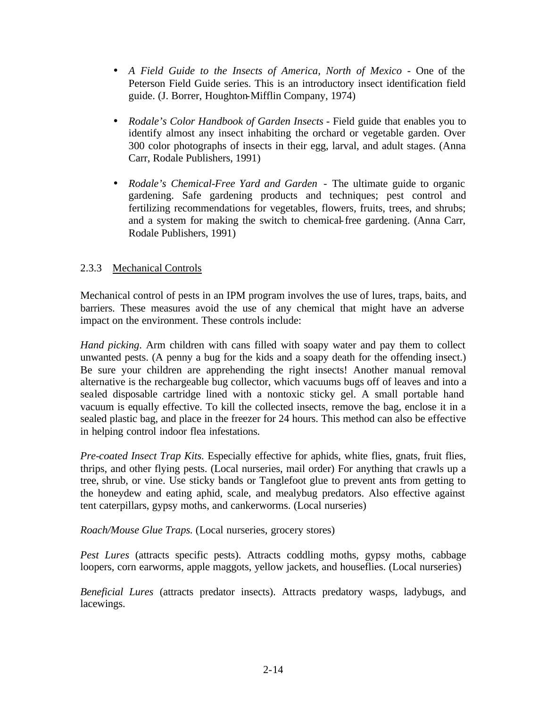- A Field Guide to the Insects of America, North of Mexico One of the Peterson Field Guide series. This is an introductory insect identification field guide. (J. Borrer, Houghton-Mifflin Company, 1974)
- *Rodale's Color Handbook of Garden Insects* Field guide that enables you to identify almost any insect inhabiting the orchard or vegetable garden. Over 300 color photographs of insects in their egg, larval, and adult stages. (Anna Carr, Rodale Publishers, 1991)
- *Rodale's Chemical-Free Yard and Garden*  The ultimate guide to organic gardening. Safe gardening products and techniques; pest control and fertilizing recommendations for vegetables, flowers, fruits, trees, and shrubs; and a system for making the switch to chemical-free gardening. (Anna Carr, Rodale Publishers, 1991)

## 2.3.3 Mechanical Controls

Mechanical control of pests in an IPM program involves the use of lures, traps, baits, and barriers. These measures avoid the use of any chemical that might have an adverse impact on the environment. These controls include:

*Hand picking*. Arm children with cans filled with soapy water and pay them to collect unwanted pests. (A penny a bug for the kids and a soapy death for the offending insect.) Be sure your children are apprehending the right insects! Another manual removal alternative is the rechargeable bug collector, which vacuums bugs off of leaves and into a sealed disposable cartridge lined with a nontoxic sticky gel. A small portable hand vacuum is equally effective. To kill the collected insects, remove the bag, enclose it in a sealed plastic bag, and place in the freezer for 24 hours. This method can also be effective in helping control indoor flea infestations.

*Pre-coated Insect Trap Kits.* Especially effective for aphids, white flies, gnats, fruit flies, thrips, and other flying pests. (Local nurseries, mail order) For anything that crawls up a tree, shrub, or vine. Use sticky bands or Tanglefoot glue to prevent ants from getting to the honeydew and eating aphid, scale, and mealybug predators. Also effective against tent caterpillars, gypsy moths, and cankerworms. (Local nurseries)

*Roach/Mouse Glue Traps.* (Local nurseries, grocery stores)

*Pest Lures* (attracts specific pests). Attracts coddling moths, gypsy moths, cabbage loopers, corn earworms, apple maggots, yellow jackets, and houseflies. (Local nurseries)

*Beneficial Lures* (attracts predator insects). Attracts predatory wasps, ladybugs, and lacewings.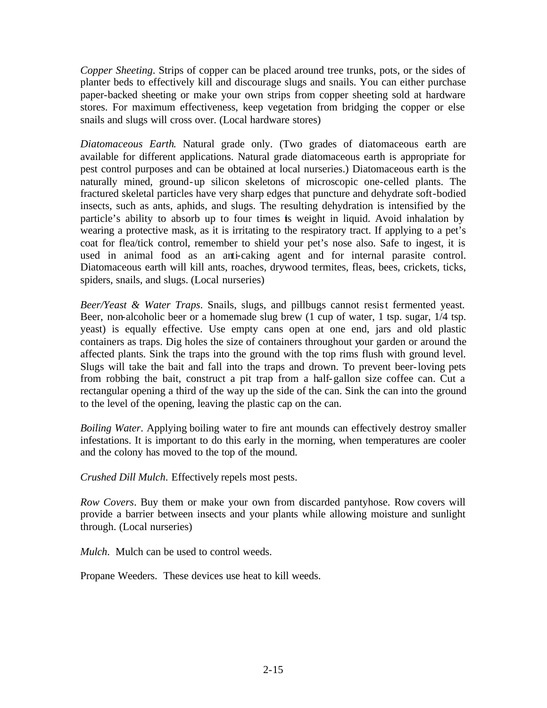*Copper Sheeting*. Strips of copper can be placed around tree trunks, pots, or the sides of planter beds to effectively kill and discourage slugs and snails. You can either purchase paper-backed sheeting or make your own strips from copper sheeting sold at hardware stores. For maximum effectiveness, keep vegetation from bridging the copper or else snails and slugs will cross over. (Local hardware stores)

*Diatomaceous Earth*. Natural grade only. (Two grades of diatomaceous earth are available for different applications. Natural grade diatomaceous earth is appropriate for pest control purposes and can be obtained at local nurseries.) Diatomaceous earth is the naturally mined, ground-up silicon skeletons of microscopic one-celled plants. The fractured skeletal particles have very sharp edges that puncture and dehydrate soft-bodied insects, such as ants, aphids, and slugs. The resulting dehydration is intensified by the particle's ability to absorb up to four times is weight in liquid. Avoid inhalation by wearing a protective mask, as it is irritating to the respiratory tract. If applying to a pet's coat for flea/tick control, remember to shield your pet's nose also. Safe to ingest, it is used in animal food as an anti-caking agent and for internal parasite control. Diatomaceous earth will kill ants, roaches, drywood termites, fleas, bees, crickets, ticks, spiders, snails, and slugs. (Local nurseries)

*Beer/Yeast & Water Traps*. Snails, slugs, and pillbugs cannot resist fermented yeast. Beer, non-alcoholic beer or a homemade slug brew (1 cup of water, 1 tsp. sugar, 1/4 tsp. yeast) is equally effective. Use empty cans open at one end, jars and old plastic containers as traps. Dig holes the size of containers throughout your garden or around the affected plants. Sink the traps into the ground with the top rims flush with ground level. Slugs will take the bait and fall into the traps and drown. To prevent beer-loving pets from robbing the bait, construct a pit trap from a half-gallon size coffee can. Cut a rectangular opening a third of the way up the side of the can. Sink the can into the ground to the level of the opening, leaving the plastic cap on the can.

*Boiling Water*. Applying boiling water to fire ant mounds can effectively destroy smaller infestations. It is important to do this early in the morning, when temperatures are cooler and the colony has moved to the top of the mound.

*Crushed Dill Mulch*. Effectively repels most pests.

*Row Covers*. Buy them or make your own from discarded pantyhose. Row covers will provide a barrier between insects and your plants while allowing moisture and sunlight through. (Local nurseries)

*Mulch*. Mulch can be used to control weeds.

Propane Weeders. These devices use heat to kill weeds.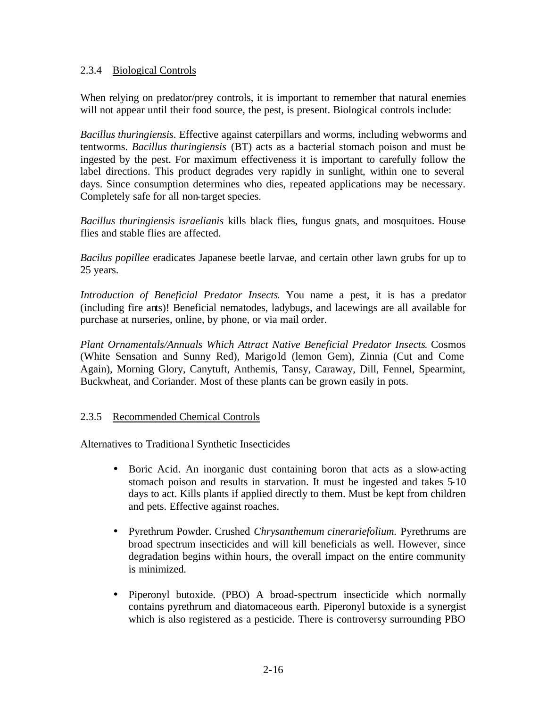### 2.3.4 Biological Controls

When relying on predator/prey controls, it is important to remember that natural enemies will not appear until their food source, the pest, is present. Biological controls include:

*Bacillus thuringiensis*. Effective against caterpillars and worms, including webworms and tentworms. *Bacillus thuringiensis* (BT) acts as a bacterial stomach poison and must be ingested by the pest. For maximum effectiveness it is important to carefully follow the label directions. This product degrades very rapidly in sunlight, within one to several days. Since consumption determines who dies, repeated applications may be necessary. Completely safe for all non-target species.

*Bacillus thuringiensis israelianis* kills black flies, fungus gnats, and mosquitoes. House flies and stable flies are affected.

*Bacilus popillee* eradicates Japanese beetle larvae, and certain other lawn grubs for up to 25 years.

*Introduction of Beneficial Predator Insects*. You name a pest, it is has a predator (including fire ants)! Beneficial nematodes, ladybugs, and lacewings are all available for purchase at nurseries, online, by phone, or via mail order.

*Plant Ornamentals/Annuals Which Attract Native Beneficial Predator Insects*. Cosmos (White Sensation and Sunny Red), Marigold (lemon Gem), Zinnia (Cut and Come Again), Morning Glory, Canytuft, Anthemis, Tansy, Caraway, Dill, Fennel, Spearmint, Buckwheat, and Coriander. Most of these plants can be grown easily in pots.

## 2.3.5 Recommended Chemical Controls

Alternatives to Traditiona l Synthetic Insecticides

- Boric Acid. An inorganic dust containing boron that acts as a slow-acting stomach poison and results in starvation. It must be ingested and takes 5-10 days to act. Kills plants if applied directly to them. Must be kept from children and pets. Effective against roaches.
- Pyrethrum Powder. Crushed *Chrysanthemum cinerariefolium.* Pyrethrums are broad spectrum insecticides and will kill beneficials as well. However, since degradation begins within hours, the overall impact on the entire community is minimized.
- Piperonyl butoxide. (PBO) A broad-spectrum insecticide which normally contains pyrethrum and diatomaceous earth. Piperonyl butoxide is a synergist which is also registered as a pesticide. There is controversy surrounding PBO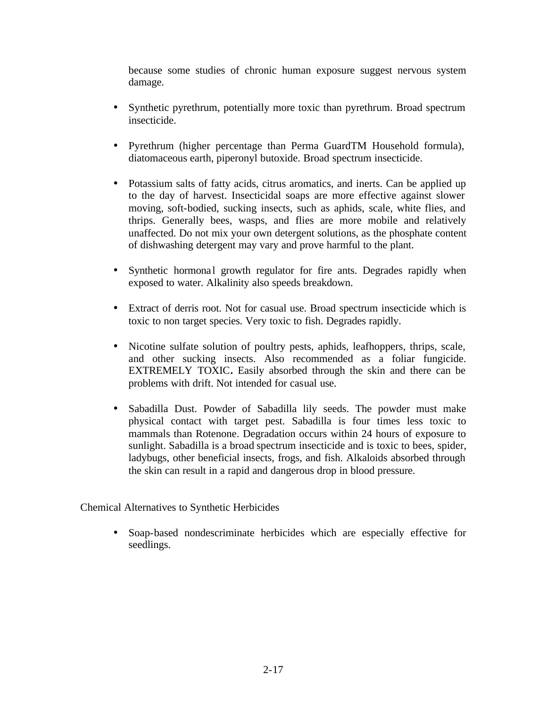because some studies of chronic human exposure suggest nervous system damage.

- Synthetic pyrethrum, potentially more toxic than pyrethrum. Broad spectrum insecticide.
- Pyrethrum (higher percentage than Perma GuardTM Household formula), diatomaceous earth, piperonyl butoxide. Broad spectrum insecticide.
- Potassium salts of fatty acids, citrus aromatics, and inerts. Can be applied up to the day of harvest. Insecticidal soaps are more effective against slower moving, soft-bodied, sucking insects, such as aphids, scale, white flies, and thrips. Generally bees, wasps, and flies are more mobile and relatively unaffected. Do not mix your own detergent solutions, as the phosphate content of dishwashing detergent may vary and prove harmful to the plant.
- Synthetic hormonal growth regulator for fire ants. Degrades rapidly when exposed to water. Alkalinity also speeds breakdown.
- Extract of derris root. Not for casual use. Broad spectrum insecticide which is toxic to non target species. Very toxic to fish. Degrades rapidly.
- Nicotine sulfate solution of poultry pests, aphids, leafhoppers, thrips, scale, and other sucking insects. Also recommended as a foliar fungicide. EXTREMELY TOXIC**.** Easily absorbed through the skin and there can be problems with drift. Not intended for casual use.
- Sabadilla Dust. Powder of Sabadilla lily seeds. The powder must make physical contact with target pest. Sabadilla is four times less toxic to mammals than Rotenone. Degradation occurs within 24 hours of exposure to sunlight. Sabadilla is a broad spectrum insecticide and is toxic to bees, spider, ladybugs, other beneficial insects, frogs, and fish. Alkaloids absorbed through the skin can result in a rapid and dangerous drop in blood pressure.

Chemical Alternatives to Synthetic Herbicides

• Soap-based nondescriminate herbicides which are especially effective for seedlings.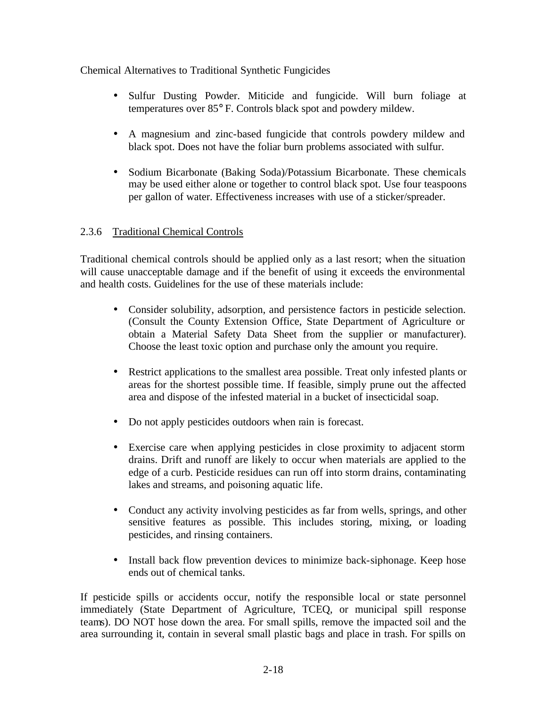Chemical Alternatives to Traditional Synthetic Fungicides

- Sulfur Dusting Powder. Miticide and fungicide. Will burn foliage at temperatures over 85° F. Controls black spot and powdery mildew.
- A magnesium and zinc-based fungicide that controls powdery mildew and black spot. Does not have the foliar burn problems associated with sulfur.
- Sodium Bicarbonate (Baking Soda)/Potassium Bicarbonate. These chemicals may be used either alone or together to control black spot. Use four teaspoons per gallon of water. Effectiveness increases with use of a sticker/spreader.

## 2.3.6 Traditional Chemical Controls

Traditional chemical controls should be applied only as a last resort; when the situation will cause unacceptable damage and if the benefit of using it exceeds the environmental and health costs. Guidelines for the use of these materials include:

- Consider solubility, adsorption, and persistence factors in pesticide selection. (Consult the County Extension Office, State Department of Agriculture or obtain a Material Safety Data Sheet from the supplier or manufacturer). Choose the least toxic option and purchase only the amount you require.
- Restrict applications to the smallest area possible. Treat only infested plants or areas for the shortest possible time. If feasible, simply prune out the affected area and dispose of the infested material in a bucket of insecticidal soap.
- Do not apply pesticides outdoors when rain is forecast.
- Exercise care when applying pesticides in close proximity to adjacent storm drains. Drift and runoff are likely to occur when materials are applied to the edge of a curb. Pesticide residues can run off into storm drains, contaminating lakes and streams, and poisoning aquatic life.
- Conduct any activity involving pesticides as far from wells, springs, and other sensitive features as possible. This includes storing, mixing, or loading pesticides, and rinsing containers.
- Install back flow prevention devices to minimize back-siphonage. Keep hose ends out of chemical tanks.

If pesticide spills or accidents occur, notify the responsible local or state personnel immediately (State Department of Agriculture, TCEQ, or municipal spill response teams). DO NOT hose down the area. For small spills, remove the impacted soil and the area surrounding it, contain in several small plastic bags and place in trash. For spills on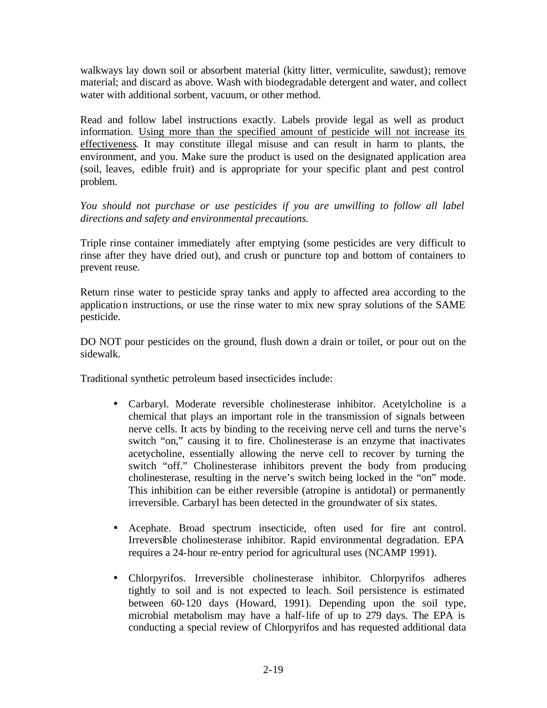walkways lay down soil or absorbent material (kitty litter, vermiculite, sawdust); remove material; and discard as above. Wash with biodegradable detergent and water, and collect water with additional sorbent, vacuum, or other method.

Read and follow label instructions exactly. Labels provide legal as well as product information. Using more than the specified amount of pesticide will not increase its effectiveness. It may constitute illegal misuse and can result in harm to plants, the environment, and you. Make sure the product is used on the designated application area (soil, leaves, edible fruit) and is appropriate for your specific plant and pest control problem.

*You should not purchase or use pesticides if you are unwilling to follow all label directions and safety and environmental precautions.*

Triple rinse container immediately after emptying (some pesticides are very difficult to rinse after they have dried out), and crush or puncture top and bottom of containers to prevent reuse.

Return rinse water to pesticide spray tanks and apply to affected area according to the application instructions, or use the rinse water to mix new spray solutions of the SAME pesticide.

DO NOT pour pesticides on the ground, flush down a drain or toilet, or pour out on the sidewalk.

Traditional synthetic petroleum based insecticides include:

- Carbaryl. Moderate reversible cholinesterase inhibitor. Acetylcholine is a chemical that plays an important role in the transmission of signals between nerve cells. It acts by binding to the receiving nerve cell and turns the nerve's switch "on," causing it to fire. Cholinesterase is an enzyme that inactivates acetycholine, essentially allowing the nerve cell to recover by turning the switch "off." Cholinesterase inhibitors prevent the body from producing cholinesterase, resulting in the nerve's switch being locked in the "on" mode. This inhibition can be either reversible (atropine is antidotal) or permanently irreversible. Carbaryl has been detected in the groundwater of six states.
- Acephate. Broad spectrum insecticide, often used for fire ant control. Irreversible cholinesterase inhibitor. Rapid environmental degradation. EPA requires a 24-hour re-entry period for agricultural uses (NCAMP 1991).
- Chlorpyrifos. Irreversible cholinesterase inhibitor. Chlorpyrifos adheres tightly to soil and is not expected to leach. Soil persistence is estimated between 60-120 days (Howard, 1991). Depending upon the soil type, microbial metabolism may have a half-life of up to 279 days. The EPA is conducting a special review of Chlorpyrifos and has requested additional data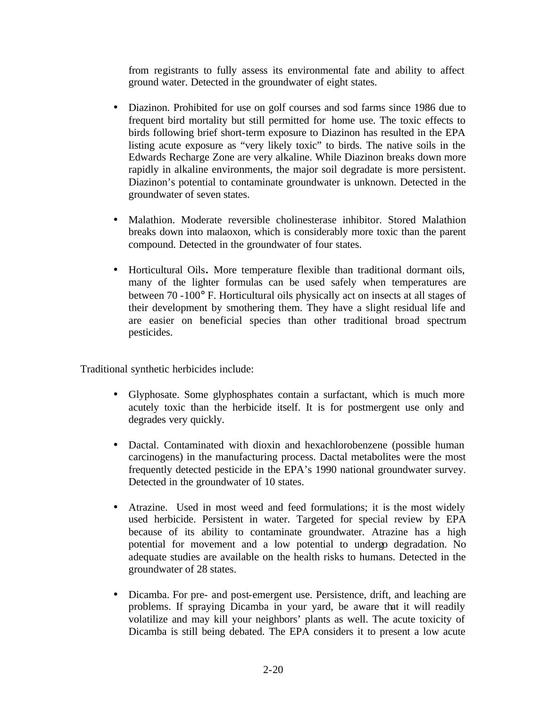from registrants to fully assess its environmental fate and ability to affect ground water. Detected in the groundwater of eight states.

- Diazinon. Prohibited for use on golf courses and sod farms since 1986 due to frequent bird mortality but still permitted for home use. The toxic effects to birds following brief short-term exposure to Diazinon has resulted in the EPA listing acute exposure as "very likely toxic" to birds. The native soils in the Edwards Recharge Zone are very alkaline. While Diazinon breaks down more rapidly in alkaline environments, the major soil degradate is more persistent. Diazinon's potential to contaminate groundwater is unknown. Detected in the groundwater of seven states.
- Malathion. Moderate reversible cholinesterase inhibitor. Stored Malathion breaks down into malaoxon, which is considerably more toxic than the parent compound. Detected in the groundwater of four states.
- Horticultural Oils**.** More temperature flexible than traditional dormant oils, many of the lighter formulas can be used safely when temperatures are between 70 -100° F. Horticultural oils physically act on insects at all stages of their development by smothering them. They have a slight residual life and are easier on beneficial species than other traditional broad spectrum pesticides.

Traditional synthetic herbicides include:

- Glyphosate. Some glyphosphates contain a surfactant, which is much more acutely toxic than the herbicide itself. It is for postmergent use only and degrades very quickly.
- Dactal. Contaminated with dioxin and hexachlorobenzene (possible human carcinogens) in the manufacturing process. Dactal metabolites were the most frequently detected pesticide in the EPA's 1990 national groundwater survey. Detected in the groundwater of 10 states.
- Atrazine. Used in most weed and feed formulations; it is the most widely used herbicide. Persistent in water. Targeted for special review by EPA because of its ability to contaminate groundwater. Atrazine has a high potential for movement and a low potential to undergo degradation. No adequate studies are available on the health risks to humans. Detected in the groundwater of 28 states.
- Dicamba. For pre- and post-emergent use. Persistence, drift, and leaching are problems. If spraying Dicamba in your yard, be aware that it will readily volatilize and may kill your neighbors' plants as well. The acute toxicity of Dicamba is still being debated. The EPA considers it to present a low acute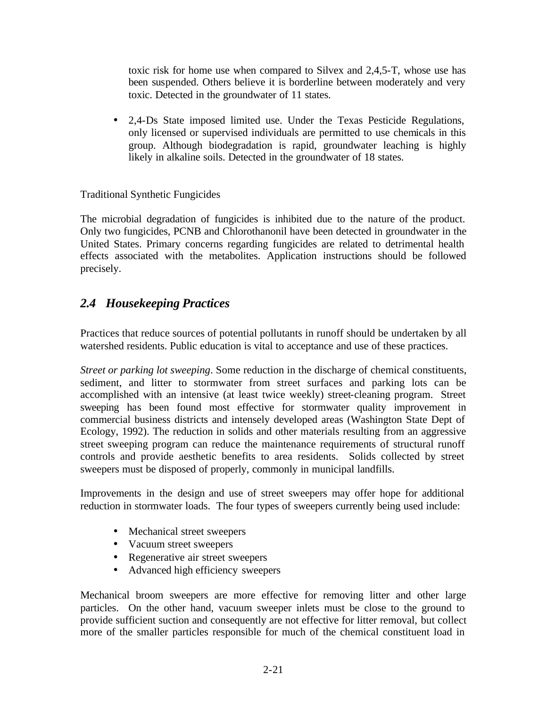toxic risk for home use when compared to Silvex and 2,4,5-T, whose use has been suspended. Others believe it is borderline between moderately and very toxic. Detected in the groundwater of 11 states.

• 2,4-Ds State imposed limited use. Under the Texas Pesticide Regulations, only licensed or supervised individuals are permitted to use chemicals in this group. Although biodegradation is rapid, groundwater leaching is highly likely in alkaline soils. Detected in the groundwater of 18 states.

Traditional Synthetic Fungicides

The microbial degradation of fungicides is inhibited due to the nature of the product. Only two fungicides, PCNB and Chlorothanonil have been detected in groundwater in the United States. Primary concerns regarding fungicides are related to detrimental health effects associated with the metabolites. Application instructions should be followed precisely.

# *2.4 Housekeeping Practices*

Practices that reduce sources of potential pollutants in runoff should be undertaken by all watershed residents. Public education is vital to acceptance and use of these practices.

*Street or parking lot sweeping*. Some reduction in the discharge of chemical constituents, sediment, and litter to stormwater from street surfaces and parking lots can be accomplished with an intensive (at least twice weekly) street-cleaning program. Street sweeping has been found most effective for stormwater quality improvement in commercial business districts and intensely developed areas (Washington State Dept of Ecology, 1992). The reduction in solids and other materials resulting from an aggressive street sweeping program can reduce the maintenance requirements of structural runoff controls and provide aesthetic benefits to area residents. Solids collected by street sweepers must be disposed of properly, commonly in municipal landfills.

Improvements in the design and use of street sweepers may offer hope for additional reduction in stormwater loads. The four types of sweepers currently being used include:

- Mechanical street sweepers
- Vacuum street sweepers
- Regenerative air street sweepers
- Advanced high efficiency sweepers

Mechanical broom sweepers are more effective for removing litter and other large particles. On the other hand, vacuum sweeper inlets must be close to the ground to provide sufficient suction and consequently are not effective for litter removal, but collect more of the smaller particles responsible for much of the chemical constituent load in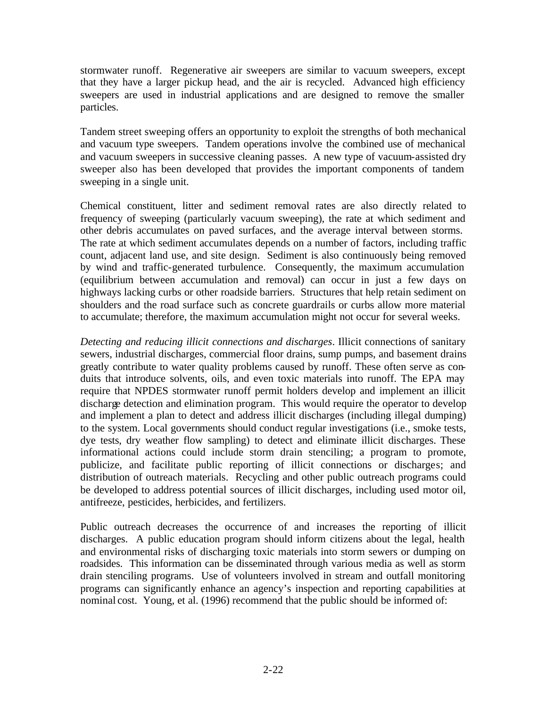stormwater runoff. Regenerative air sweepers are similar to vacuum sweepers, except that they have a larger pickup head, and the air is recycled. Advanced high efficiency sweepers are used in industrial applications and are designed to remove the smaller particles.

Tandem street sweeping offers an opportunity to exploit the strengths of both mechanical and vacuum type sweepers. Tandem operations involve the combined use of mechanical and vacuum sweepers in successive cleaning passes. A new type of vacuum-assisted dry sweeper also has been developed that provides the important components of tandem sweeping in a single unit.

Chemical constituent, litter and sediment removal rates are also directly related to frequency of sweeping (particularly vacuum sweeping), the rate at which sediment and other debris accumulates on paved surfaces, and the average interval between storms. The rate at which sediment accumulates depends on a number of factors, including traffic count, adjacent land use, and site design. Sediment is also continuously being removed by wind and traffic-generated turbulence. Consequently, the maximum accumulation (equilibrium between accumulation and removal) can occur in just a few days on highways lacking curbs or other roadside barriers. Structures that help retain sediment on shoulders and the road surface such as concrete guardrails or curbs allow more material to accumulate; therefore, the maximum accumulation might not occur for several weeks.

*Detecting and reducing illicit connections and discharges*. Illicit connections of sanitary sewers, industrial discharges, commercial floor drains, sump pumps, and basement drains greatly contribute to water quality problems caused by runoff. These often serve as conduits that introduce solvents, oils, and even toxic materials into runoff. The EPA may require that NPDES stormwater runoff permit holders develop and implement an illicit discharge detection and elimination program. This would require the operator to develop and implement a plan to detect and address illicit discharges (including illegal dumping) to the system. Local governments should conduct regular investigations (i.e., smoke tests, dye tests, dry weather flow sampling) to detect and eliminate illicit discharges. These informational actions could include storm drain stenciling; a program to promote, publicize, and facilitate public reporting of illicit connections or discharges; and distribution of outreach materials. Recycling and other public outreach programs could be developed to address potential sources of illicit discharges, including used motor oil, antifreeze, pesticides, herbicides, and fertilizers.

Public outreach decreases the occurrence of and increases the reporting of illicit discharges. A public education program should inform citizens about the legal, health and environmental risks of discharging toxic materials into storm sewers or dumping on roadsides. This information can be disseminated through various media as well as storm drain stenciling programs. Use of volunteers involved in stream and outfall monitoring programs can significantly enhance an agency's inspection and reporting capabilities at nominal cost. Young, et al. (1996) recommend that the public should be informed of: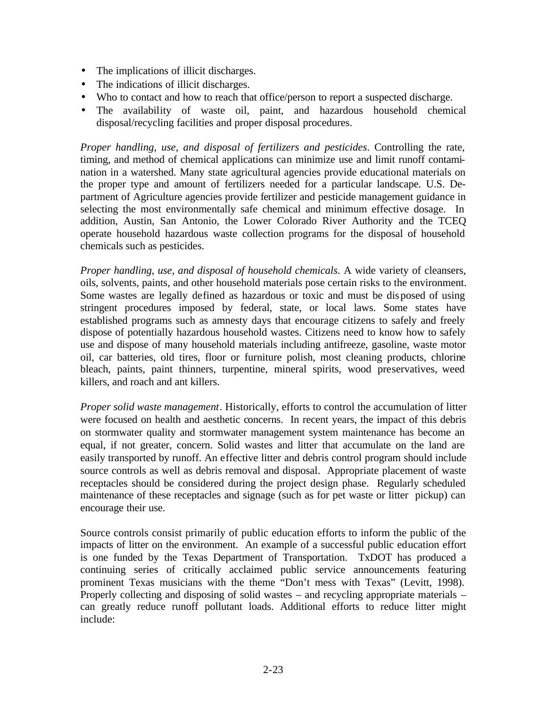- The implications of illicit discharges.
- The indications of illicit discharges.
- Who to contact and how to reach that office/person to report a suspected discharge.
- The availability of waste oil, paint, and hazardous household chemical disposal/recycling facilities and proper disposal procedures.

*Proper handling, use, and disposal of fertilizers and pesticides*. Controlling the rate, timing, and method of chemical applications can minimize use and limit runoff contamination in a watershed. Many state agricultural agencies provide educational materials on the proper type and amount of fertilizers needed for a particular landscape. U.S. Department of Agriculture agencies provide fertilizer and pesticide management guidance in selecting the most environmentally safe chemical and minimum effective dosage. In addition, Austin, San Antonio, the Lower Colorado River Authority and the TCEQ operate household hazardous waste collection programs for the disposal of household chemicals such as pesticides.

*Proper handling, use, and disposal of household chemicals*. A wide variety of cleansers, oils, solvents, paints, and other household materials pose certain risks to the environment. Some wastes are legally defined as hazardous or toxic and must be disposed of using stringent procedures imposed by federal, state, or local laws. Some states have established programs such as amnesty days that encourage citizens to safely and freely dispose of potentially hazardous household wastes. Citizens need to know how to safely use and dispose of many household materials including antifreeze, gasoline, waste motor oil, car batteries, old tires, floor or furniture polish, most cleaning products, chlorine bleach, paints, paint thinners, turpentine, mineral spirits, wood preservatives, weed killers, and roach and ant killers.

*Proper solid waste management*. Historically, efforts to control the accumulation of litter were focused on health and aesthetic concerns. In recent years, the impact of this debris on stormwater quality and stormwater management system maintenance has become an equal, if not greater, concern. Solid wastes and litter that accumulate on the land are easily transported by runoff. An effective litter and debris control program should include source controls as well as debris removal and disposal. Appropriate placement of waste receptacles should be considered during the project design phase. Regularly scheduled maintenance of these receptacles and signage (such as for pet waste or litter pickup) can encourage their use.

Source controls consist primarily of public education efforts to inform the public of the impacts of litter on the environment. An example of a successful public education effort is one funded by the Texas Department of Transportation. TxDOT has produced a continuing series of critically acclaimed public service announcements featuring prominent Texas musicians with the theme "Don't mess with Texas" (Levitt, 1998). Properly collecting and disposing of solid wastes – and recycling appropriate materials – can greatly reduce runoff pollutant loads. Additional efforts to reduce litter might include: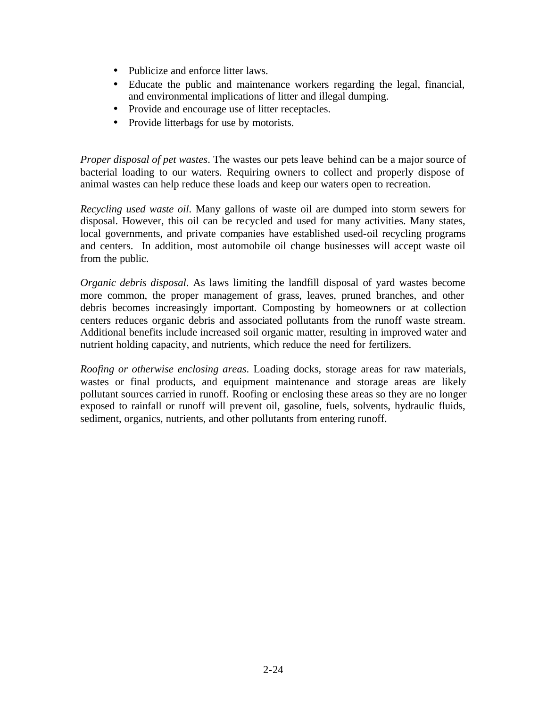- Publicize and enforce litter laws.
- Educate the public and maintenance workers regarding the legal, financial, and environmental implications of litter and illegal dumping.
- Provide and encourage use of litter receptacles.
- Provide litterbags for use by motorists.

*Proper disposal of pet wastes*. The wastes our pets leave behind can be a major source of bacterial loading to our waters. Requiring owners to collect and properly dispose of animal wastes can help reduce these loads and keep our waters open to recreation.

*Recycling used waste oil*. Many gallons of waste oil are dumped into storm sewers for disposal. However, this oil can be recycled and used for many activities. Many states, local governments, and private companies have established used-oil recycling programs and centers. In addition, most automobile oil change businesses will accept waste oil from the public.

*Organic debris disposal*. As laws limiting the landfill disposal of yard wastes become more common, the proper management of grass, leaves, pruned branches, and other debris becomes increasingly important. Composting by homeowners or at collection centers reduces organic debris and associated pollutants from the runoff waste stream. Additional benefits include increased soil organic matter, resulting in improved water and nutrient holding capacity, and nutrients, which reduce the need for fertilizers.

*Roofing or otherwise enclosing areas*. Loading docks, storage areas for raw materials, wastes or final products, and equipment maintenance and storage areas are likely pollutant sources carried in runoff. Roofing or enclosing these areas so they are no longer exposed to rainfall or runoff will prevent oil, gasoline, fuels, solvents, hydraulic fluids, sediment, organics, nutrients, and other pollutants from entering runoff.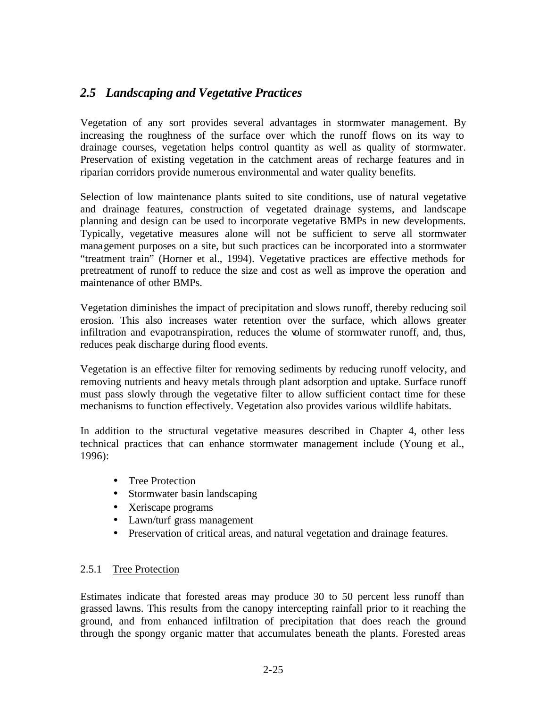# *2.5 Landscaping and Vegetative Practices*

Vegetation of any sort provides several advantages in stormwater management. By increasing the roughness of the surface over which the runoff flows on its way to drainage courses, vegetation helps control quantity as well as quality of stormwater. Preservation of existing vegetation in the catchment areas of recharge features and in riparian corridors provide numerous environmental and water quality benefits.

Selection of low maintenance plants suited to site conditions, use of natural vegetative and drainage features, construction of vegetated drainage systems, and landscape planning and design can be used to incorporate vegetative BMPs in new developments. Typically, vegetative measures alone will not be sufficient to serve all stormwater management purposes on a site, but such practices can be incorporated into a stormwater "treatment train" (Horner et al., 1994). Vegetative practices are effective methods for pretreatment of runoff to reduce the size and cost as well as improve the operation and maintenance of other BMPs.

Vegetation diminishes the impact of precipitation and slows runoff, thereby reducing soil erosion. This also increases water retention over the surface, which allows greater infiltration and evapotranspiration, reduces the volume of stormwater runoff, and, thus, reduces peak discharge during flood events.

Vegetation is an effective filter for removing sediments by reducing runoff velocity, and removing nutrients and heavy metals through plant adsorption and uptake. Surface runoff must pass slowly through the vegetative filter to allow sufficient contact time for these mechanisms to function effectively. Vegetation also provides various wildlife habitats.

In addition to the structural vegetative measures described in Chapter 4, other less technical practices that can enhance stormwater management include (Young et al., 1996):

- Tree Protection
- Stormwater basin landscaping
- Xeriscape programs
- Lawn/turf grass management
- Preservation of critical areas, and natural vegetation and drainage features.

### 2.5.1 Tree Protection

Estimates indicate that forested areas may produce 30 to 50 percent less runoff than grassed lawns. This results from the canopy intercepting rainfall prior to it reaching the ground, and from enhanced infiltration of precipitation that does reach the ground through the spongy organic matter that accumulates beneath the plants. Forested areas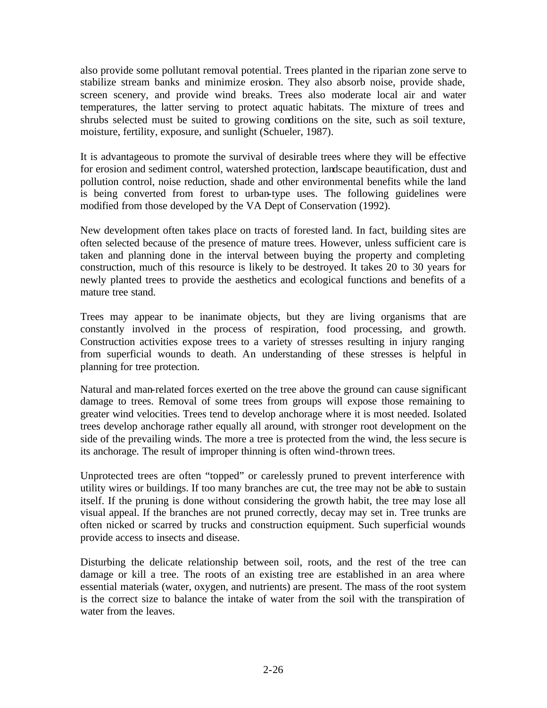also provide some pollutant removal potential. Trees planted in the riparian zone serve to stabilize stream banks and minimize erosion. They also absorb noise, provide shade, screen scenery, and provide wind breaks. Trees also moderate local air and water temperatures, the latter serving to protect aquatic habitats. The mixture of trees and shrubs selected must be suited to growing conditions on the site, such as soil texture, moisture, fertility, exposure, and sunlight (Schueler, 1987).

It is advantageous to promote the survival of desirable trees where they will be effective for erosion and sediment control, watershed protection, landscape beautification, dust and pollution control, noise reduction, shade and other environmental benefits while the land is being converted from forest to urban-type uses. The following guidelines were modified from those developed by the VA Dept of Conservation (1992).

New development often takes place on tracts of forested land. In fact, building sites are often selected because of the presence of mature trees. However, unless sufficient care is taken and planning done in the interval between buying the property and completing construction, much of this resource is likely to be destroyed. It takes 20 to 30 years for newly planted trees to provide the aesthetics and ecological functions and benefits of a mature tree stand.

Trees may appear to be inanimate objects, but they are living organisms that are constantly involved in the process of respiration, food processing, and growth. Construction activities expose trees to a variety of stresses resulting in injury ranging from superficial wounds to death. An understanding of these stresses is helpful in planning for tree protection.

Natural and man-related forces exerted on the tree above the ground can cause significant damage to trees. Removal of some trees from groups will expose those remaining to greater wind velocities. Trees tend to develop anchorage where it is most needed. Isolated trees develop anchorage rather equally all around, with stronger root development on the side of the prevailing winds. The more a tree is protected from the wind, the less secure is its anchorage. The result of improper thinning is often wind-thrown trees.

Unprotected trees are often "topped" or carelessly pruned to prevent interference with utility wires or buildings. If too many branches are cut, the tree may not be able to sustain itself. If the pruning is done without considering the growth habit, the tree may lose all visual appeal. If the branches are not pruned correctly, decay may set in. Tree trunks are often nicked or scarred by trucks and construction equipment. Such superficial wounds provide access to insects and disease.

Disturbing the delicate relationship between soil, roots, and the rest of the tree can damage or kill a tree. The roots of an existing tree are established in an area where essential materials (water, oxygen, and nutrients) are present. The mass of the root system is the correct size to balance the intake of water from the soil with the transpiration of water from the leaves.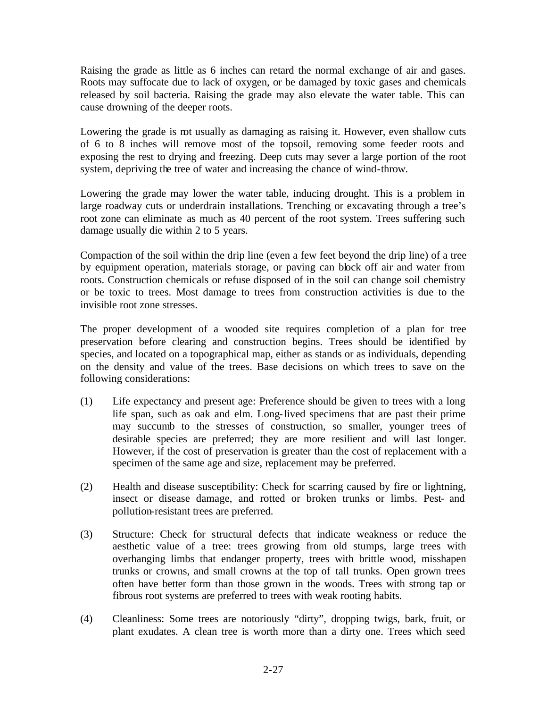Raising the grade as little as 6 inches can retard the normal exchange of air and gases. Roots may suffocate due to lack of oxygen, or be damaged by toxic gases and chemicals released by soil bacteria. Raising the grade may also elevate the water table. This can cause drowning of the deeper roots.

Lowering the grade is not usually as damaging as raising it. However, even shallow cuts of 6 to 8 inches will remove most of the topsoil, removing some feeder roots and exposing the rest to drying and freezing. Deep cuts may sever a large portion of the root system, depriving the tree of water and increasing the chance of wind-throw.

Lowering the grade may lower the water table, inducing drought. This is a problem in large roadway cuts or underdrain installations. Trenching or excavating through a tree's root zone can eliminate as much as 40 percent of the root system. Trees suffering such damage usually die within 2 to 5 years.

Compaction of the soil within the drip line (even a few feet beyond the drip line) of a tree by equipment operation, materials storage, or paving can block off air and water from roots. Construction chemicals or refuse disposed of in the soil can change soil chemistry or be toxic to trees. Most damage to trees from construction activities is due to the invisible root zone stresses.

The proper development of a wooded site requires completion of a plan for tree preservation before clearing and construction begins. Trees should be identified by species, and located on a topographical map, either as stands or as individuals, depending on the density and value of the trees. Base decisions on which trees to save on the following considerations:

- (1) Life expectancy and present age: Preference should be given to trees with a long life span, such as oak and elm. Long-lived specimens that are past their prime may succumb to the stresses of construction, so smaller, younger trees of desirable species are preferred; they are more resilient and will last longer. However, if the cost of preservation is greater than the cost of replacement with a specimen of the same age and size, replacement may be preferred.
- (2) Health and disease susceptibility: Check for scarring caused by fire or lightning, insect or disease damage, and rotted or broken trunks or limbs. Pest- and pollution-resistant trees are preferred.
- (3) Structure: Check for structural defects that indicate weakness or reduce the aesthetic value of a tree: trees growing from old stumps, large trees with overhanging limbs that endanger property, trees with brittle wood, misshapen trunks or crowns, and small crowns at the top of tall trunks. Open grown trees often have better form than those grown in the woods. Trees with strong tap or fibrous root systems are preferred to trees with weak rooting habits.
- (4) Cleanliness: Some trees are notoriously "dirty", dropping twigs, bark, fruit, or plant exudates. A clean tree is worth more than a dirty one. Trees which seed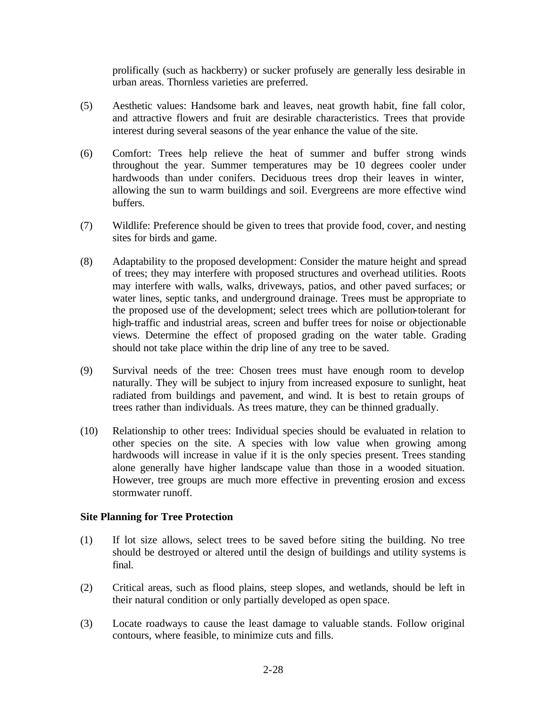prolifically (such as hackberry) or sucker profusely are generally less desirable in urban areas. Thornless varieties are preferred.

- (5) Aesthetic values: Handsome bark and leaves, neat growth habit, fine fall color, and attractive flowers and fruit are desirable characteristics. Trees that provide interest during several seasons of the year enhance the value of the site.
- (6) Comfort: Trees help relieve the heat of summer and buffer strong winds throughout the year. Summer temperatures may be 10 degrees cooler under hardwoods than under conifers. Deciduous trees drop their leaves in winter, allowing the sun to warm buildings and soil. Evergreens are more effective wind buffers.
- (7) Wildlife: Preference should be given to trees that provide food, cover, and nesting sites for birds and game.
- (8) Adaptability to the proposed development: Consider the mature height and spread of trees; they may interfere with proposed structures and overhead utilities. Roots may interfere with walls, walks, driveways, patios, and other paved surfaces; or water lines, septic tanks, and underground drainage. Trees must be appropriate to the proposed use of the development; select trees which are pollution-tolerant for high-traffic and industrial areas, screen and buffer trees for noise or objectionable views. Determine the effect of proposed grading on the water table. Grading should not take place within the drip line of any tree to be saved.
- (9) Survival needs of the tree: Chosen trees must have enough room to develop naturally. They will be subject to injury from increased exposure to sunlight, heat radiated from buildings and pavement, and wind. It is best to retain groups of trees rather than individuals. As trees mature, they can be thinned gradually.
- (10) Relationship to other trees: Individual species should be evaluated in relation to other species on the site. A species with low value when growing among hardwoods will increase in value if it is the only species present. Trees standing alone generally have higher landscape value than those in a wooded situation. However, tree groups are much more effective in preventing erosion and excess stormwater runoff.

## **Site Planning for Tree Protection**

- (1) If lot size allows, select trees to be saved before siting the building. No tree should be destroyed or altered until the design of buildings and utility systems is final.
- (2) Critical areas, such as flood plains, steep slopes, and wetlands, should be left in their natural condition or only partially developed as open space.
- (3) Locate roadways to cause the least damage to valuable stands. Follow original contours, where feasible, to minimize cuts and fills.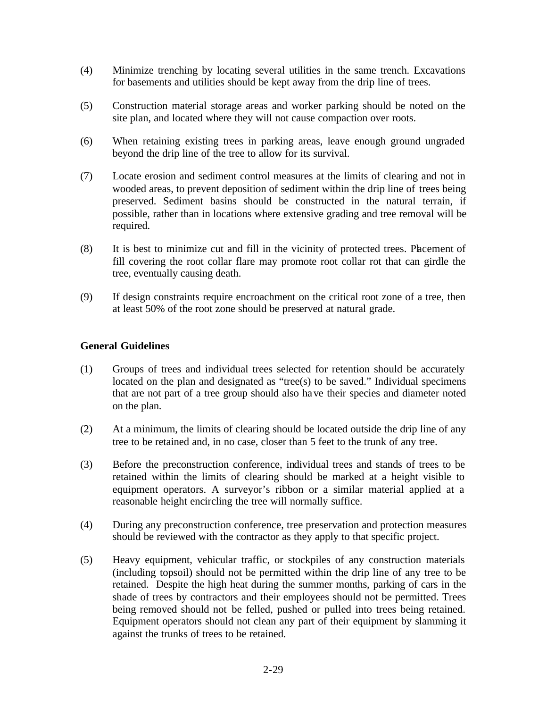- (4) Minimize trenching by locating several utilities in the same trench. Excavations for basements and utilities should be kept away from the drip line of trees.
- (5) Construction material storage areas and worker parking should be noted on the site plan, and located where they will not cause compaction over roots.
- (6) When retaining existing trees in parking areas, leave enough ground ungraded beyond the drip line of the tree to allow for its survival.
- (7) Locate erosion and sediment control measures at the limits of clearing and not in wooded areas, to prevent deposition of sediment within the drip line of trees being preserved. Sediment basins should be constructed in the natural terrain, if possible, rather than in locations where extensive grading and tree removal will be required.
- (8) It is best to minimize cut and fill in the vicinity of protected trees. Placement of fill covering the root collar flare may promote root collar rot that can girdle the tree, eventually causing death.
- (9) If design constraints require encroachment on the critical root zone of a tree, then at least 50% of the root zone should be preserved at natural grade.

### **General Guidelines**

- (1) Groups of trees and individual trees selected for retention should be accurately located on the plan and designated as "tree(s) to be saved." Individual specimens that are not part of a tree group should also have their species and diameter noted on the plan.
- (2) At a minimum, the limits of clearing should be located outside the drip line of any tree to be retained and, in no case, closer than 5 feet to the trunk of any tree.
- (3) Before the preconstruction conference, individual trees and stands of trees to be retained within the limits of clearing should be marked at a height visible to equipment operators. A surveyor's ribbon or a similar material applied at a reasonable height encircling the tree will normally suffice.
- (4) During any preconstruction conference, tree preservation and protection measures should be reviewed with the contractor as they apply to that specific project.
- (5) Heavy equipment, vehicular traffic, or stockpiles of any construction materials (including topsoil) should not be permitted within the drip line of any tree to be retained. Despite the high heat during the summer months, parking of cars in the shade of trees by contractors and their employees should not be permitted. Trees being removed should not be felled, pushed or pulled into trees being retained. Equipment operators should not clean any part of their equipment by slamming it against the trunks of trees to be retained.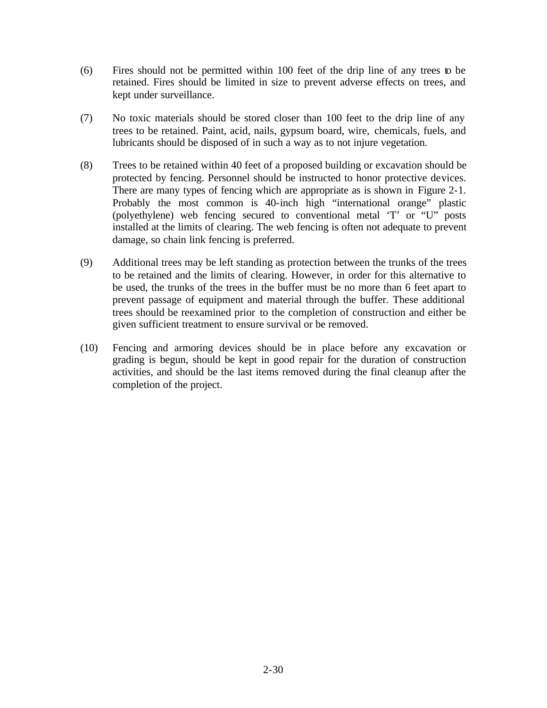- (6) Fires should not be permitted within 100 feet of the drip line of any trees to be retained. Fires should be limited in size to prevent adverse effects on trees, and kept under surveillance.
- (7) No toxic materials should be stored closer than 100 feet to the drip line of any trees to be retained. Paint, acid, nails, gypsum board, wire, chemicals, fuels, and lubricants should be disposed of in such a way as to not injure vegetation.
- (8) Trees to be retained within 40 feet of a proposed building or excavation should be protected by fencing. Personnel should be instructed to honor protective devices. There are many types of fencing which are appropriate as is shown in Figure 2-1. Probably the most common is 40-inch high "international orange" plastic (polyethylene) web fencing secured to conventional metal 'T' or "U" posts installed at the limits of clearing. The web fencing is often not adequate to prevent damage, so chain link fencing is preferred.
- (9) Additional trees may be left standing as protection between the trunks of the trees to be retained and the limits of clearing. However, in order for this alternative to be used, the trunks of the trees in the buffer must be no more than 6 feet apart to prevent passage of equipment and material through the buffer. These additional trees should be reexamined prior to the completion of construction and either be given sufficient treatment to ensure survival or be removed.
- (10) Fencing and armoring devices should be in place before any excavation or grading is begun, should be kept in good repair for the duration of construction activities, and should be the last items removed during the final cleanup after the completion of the project.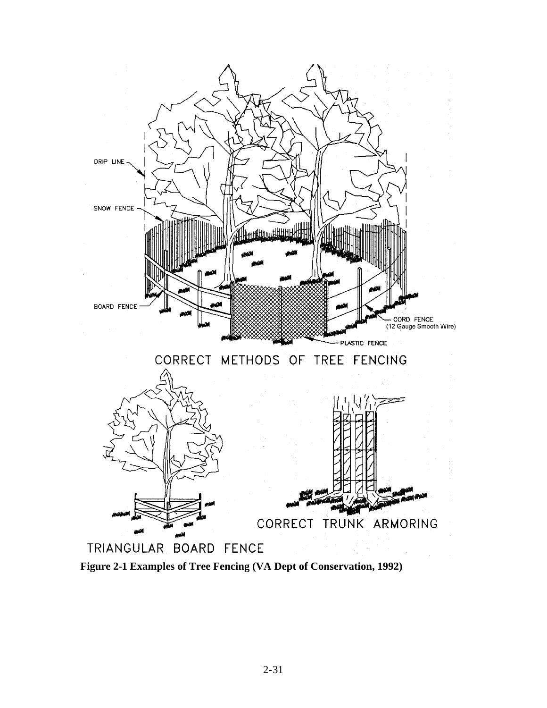

**Figure 2-1 Examples of Tree Fencing (VA Dept of Conservation, 1992)**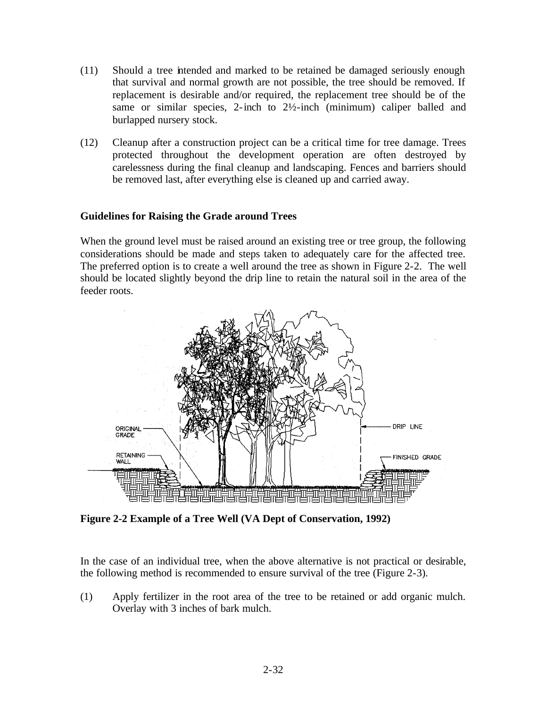- (11) Should a tree intended and marked to be retained be damaged seriously enough that survival and normal growth are not possible, the tree should be removed. If replacement is desirable and/or required, the replacement tree should be of the same or similar species, 2-inch to  $2\frac{1}{2}$ -inch (minimum) caliper balled and burlapped nursery stock.
- (12) Cleanup after a construction project can be a critical time for tree damage. Trees protected throughout the development operation are often destroyed by carelessness during the final cleanup and landscaping. Fences and barriers should be removed last, after everything else is cleaned up and carried away.

### **Guidelines for Raising the Grade around Trees**

When the ground level must be raised around an existing tree or tree group, the following considerations should be made and steps taken to adequately care for the affected tree. The preferred option is to create a well around the tree as shown in Figure 2-2. The well should be located slightly beyond the drip line to retain the natural soil in the area of the feeder roots.



**Figure 2-2 Example of a Tree Well (VA Dept of Conservation, 1992)**

In the case of an individual tree, when the above alternative is not practical or desirable, the following method is recommended to ensure survival of the tree (Figure 2-3).

(1) Apply fertilizer in the root area of the tree to be retained or add organic mulch. Overlay with 3 inches of bark mulch.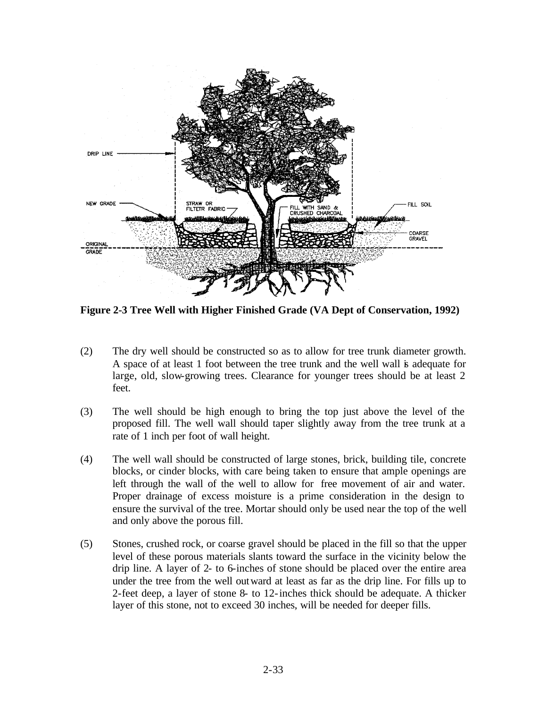

**Figure 2-3 Tree Well with Higher Finished Grade (VA Dept of Conservation, 1992)**

- (2) The dry well should be constructed so as to allow for tree trunk diameter growth. A space of at least 1 foot between the tree trunk and the well wall is adequate for large, old, slow-growing trees. Clearance for younger trees should be at least 2 feet.
- (3) The well should be high enough to bring the top just above the level of the proposed fill. The well wall should taper slightly away from the tree trunk at a rate of 1 inch per foot of wall height.
- (4) The well wall should be constructed of large stones, brick, building tile, concrete blocks, or cinder blocks, with care being taken to ensure that ample openings are left through the wall of the well to allow for free movement of air and water. Proper drainage of excess moisture is a prime consideration in the design to ensure the survival of the tree. Mortar should only be used near the top of the well and only above the porous fill.
- (5) Stones, crushed rock, or coarse gravel should be placed in the fill so that the upper level of these porous materials slants toward the surface in the vicinity below the drip line. A layer of 2- to 6-inches of stone should be placed over the entire area under the tree from the well outward at least as far as the drip line. For fills up to 2-feet deep, a layer of stone 8- to 12-inches thick should be adequate. A thicker layer of this stone, not to exceed 30 inches, will be needed for deeper fills.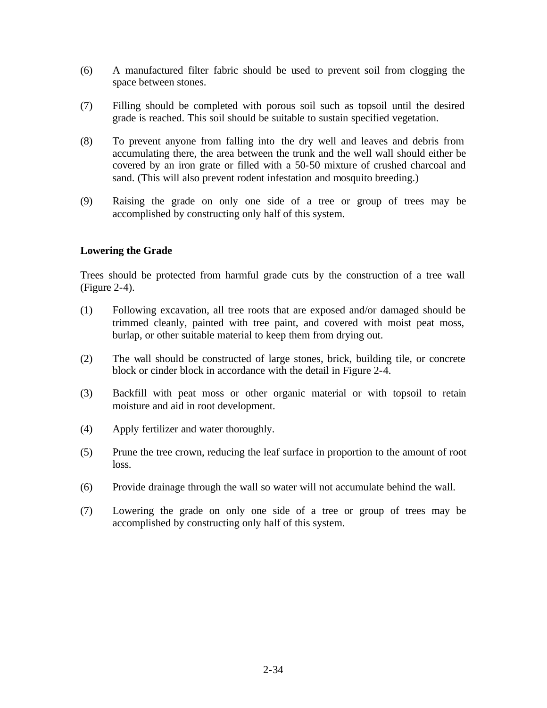- (6) A manufactured filter fabric should be used to prevent soil from clogging the space between stones.
- (7) Filling should be completed with porous soil such as topsoil until the desired grade is reached. This soil should be suitable to sustain specified vegetation.
- (8) To prevent anyone from falling into the dry well and leaves and debris from accumulating there, the area between the trunk and the well wall should either be covered by an iron grate or filled with a 50-50 mixture of crushed charcoal and sand. (This will also prevent rodent infestation and mosquito breeding.)
- (9) Raising the grade on only one side of a tree or group of trees may be accomplished by constructing only half of this system.

## **Lowering the Grade**

Trees should be protected from harmful grade cuts by the construction of a tree wall (Figure 2-4).

- (1) Following excavation, all tree roots that are exposed and/or damaged should be trimmed cleanly, painted with tree paint, and covered with moist peat moss, burlap, or other suitable material to keep them from drying out.
- (2) The wall should be constructed of large stones, brick, building tile, or concrete block or cinder block in accordance with the detail in Figure 2-4.
- (3) Backfill with peat moss or other organic material or with topsoil to retain moisture and aid in root development.
- (4) Apply fertilizer and water thoroughly.
- (5) Prune the tree crown, reducing the leaf surface in proportion to the amount of root loss.
- (6) Provide drainage through the wall so water will not accumulate behind the wall.
- (7) Lowering the grade on only one side of a tree or group of trees may be accomplished by constructing only half of this system.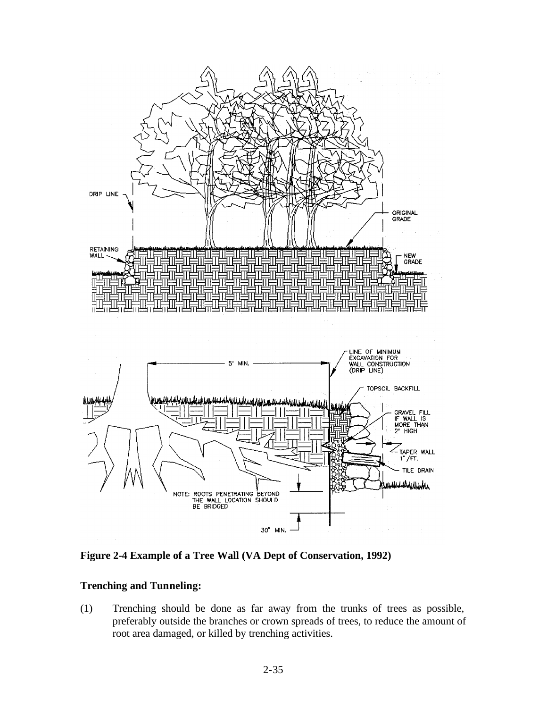

**Figure 2-4 Example of a Tree Wall (VA Dept of Conservation, 1992)**

### **Trenching and Tunneling:**

(1) Trenching should be done as far away from the trunks of trees as possible, preferably outside the branches or crown spreads of trees, to reduce the amount of root area damaged, or killed by trenching activities.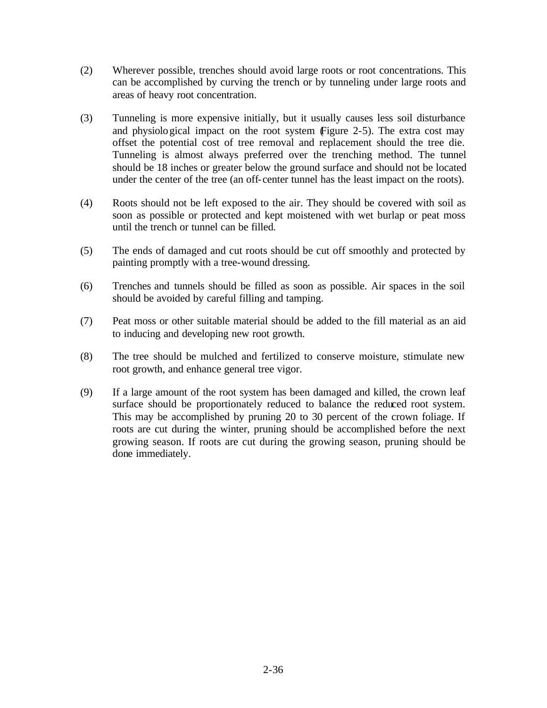- (2) Wherever possible, trenches should avoid large roots or root concentrations. This can be accomplished by curving the trench or by tunneling under large roots and areas of heavy root concentration.
- (3) Tunneling is more expensive initially, but it usually causes less soil disturbance and physiological impact on the root system (Figure 2-5). The extra cost may offset the potential cost of tree removal and replacement should the tree die. Tunneling is almost always preferred over the trenching method. The tunnel should be 18 inches or greater below the ground surface and should not be located under the center of the tree (an off-center tunnel has the least impact on the roots).
- (4) Roots should not be left exposed to the air. They should be covered with soil as soon as possible or protected and kept moistened with wet burlap or peat moss until the trench or tunnel can be filled.
- (5) The ends of damaged and cut roots should be cut off smoothly and protected by painting promptly with a tree-wound dressing.
- (6) Trenches and tunnels should be filled as soon as possible. Air spaces in the soil should be avoided by careful filling and tamping.
- (7) Peat moss or other suitable material should be added to the fill material as an aid to inducing and developing new root growth.
- (8) The tree should be mulched and fertilized to conserve moisture, stimulate new root growth, and enhance general tree vigor.
- (9) If a large amount of the root system has been damaged and killed, the crown leaf surface should be proportionately reduced to balance the reduced root system. This may be accomplished by pruning 20 to 30 percent of the crown foliage. If roots are cut during the winter, pruning should be accomplished before the next growing season. If roots are cut during the growing season, pruning should be done immediately.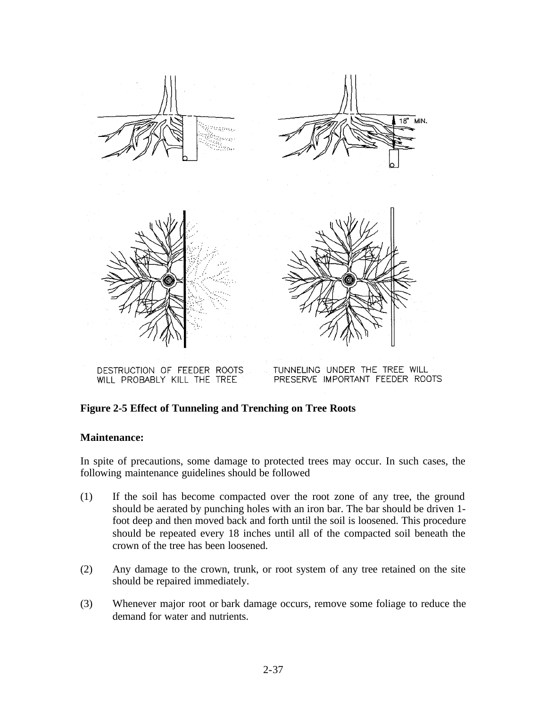

DESTRUCTION OF FEEDER ROOTS WILL PROBABLY KILL THE TREE

TUNNELING UNDER THE TREE WILL PRESERVE IMPORTANT FEEDER ROOTS

### **Figure 2-5 Effect of Tunneling and Trenching on Tree Roots**

#### **Maintenance:**

In spite of precautions, some damage to protected trees may occur. In such cases, the following maintenance guidelines should be followed

- (1) If the soil has become compacted over the root zone of any tree, the ground should be aerated by punching holes with an iron bar. The bar should be driven 1 foot deep and then moved back and forth until the soil is loosened. This procedure should be repeated every 18 inches until all of the compacted soil beneath the crown of the tree has been loosened.
- (2) Any damage to the crown, trunk, or root system of any tree retained on the site should be repaired immediately.
- (3) Whenever major root or bark damage occurs, remove some foliage to reduce the demand for water and nutrients.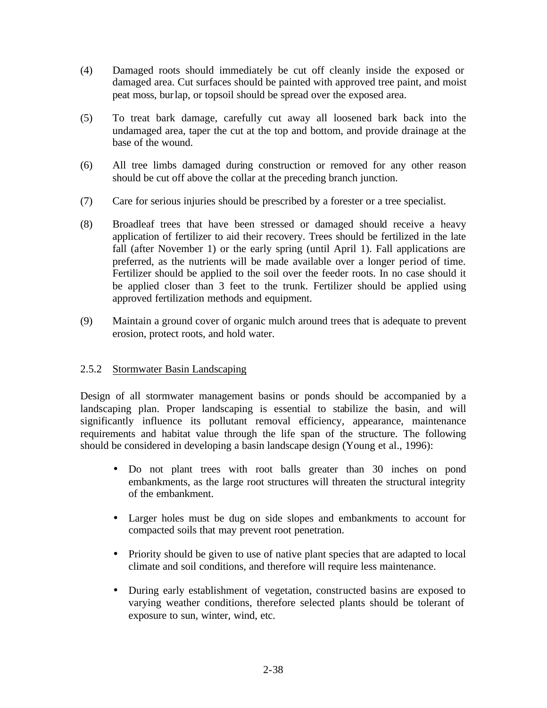- (4) Damaged roots should immediately be cut off cleanly inside the exposed or damaged area. Cut surfaces should be painted with approved tree paint, and moist peat moss, burlap, or topsoil should be spread over the exposed area.
- (5) To treat bark damage, carefully cut away all loosened bark back into the undamaged area, taper the cut at the top and bottom, and provide drainage at the base of the wound.
- (6) All tree limbs damaged during construction or removed for any other reason should be cut off above the collar at the preceding branch junction.
- (7) Care for serious injuries should be prescribed by a forester or a tree specialist.
- (8) Broadleaf trees that have been stressed or damaged should receive a heavy application of fertilizer to aid their recovery. Trees should be fertilized in the late fall (after November 1) or the early spring (until April 1). Fall applications are preferred, as the nutrients will be made available over a longer period of time. Fertilizer should be applied to the soil over the feeder roots. In no case should it be applied closer than 3 feet to the trunk. Fertilizer should be applied using approved fertilization methods and equipment.
- (9) Maintain a ground cover of organic mulch around trees that is adequate to prevent erosion, protect roots, and hold water.

## 2.5.2 Stormwater Basin Landscaping

Design of all stormwater management basins or ponds should be accompanied by a landscaping plan. Proper landscaping is essential to stabilize the basin, and will significantly influence its pollutant removal efficiency, appearance, maintenance requirements and habitat value through the life span of the structure. The following should be considered in developing a basin landscape design (Young et al., 1996):

- Do not plant trees with root balls greater than 30 inches on pond embankments, as the large root structures will threaten the structural integrity of the embankment.
- Larger holes must be dug on side slopes and embankments to account for compacted soils that may prevent root penetration.
- Priority should be given to use of native plant species that are adapted to local climate and soil conditions, and therefore will require less maintenance.
- During early establishment of vegetation, constructed basins are exposed to varying weather conditions, therefore selected plants should be tolerant of exposure to sun, winter, wind, etc.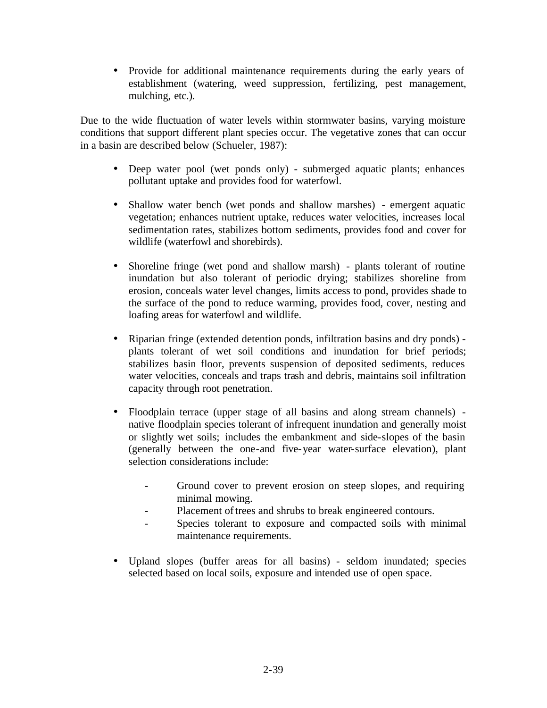• Provide for additional maintenance requirements during the early years of establishment (watering, weed suppression, fertilizing, pest management, mulching, etc.).

Due to the wide fluctuation of water levels within stormwater basins, varying moisture conditions that support different plant species occur. The vegetative zones that can occur in a basin are described below (Schueler, 1987):

- Deep water pool (wet ponds only) submerged aquatic plants; enhances pollutant uptake and provides food for waterfowl.
- Shallow water bench (wet ponds and shallow marshes) emergent aquatic vegetation; enhances nutrient uptake, reduces water velocities, increases local sedimentation rates, stabilizes bottom sediments, provides food and cover for wildlife (waterfowl and shorebirds).
- Shoreline fringe (wet pond and shallow marsh) plants tolerant of routine inundation but also tolerant of periodic drying; stabilizes shoreline from erosion, conceals water level changes, limits access to pond, provides shade to the surface of the pond to reduce warming, provides food, cover, nesting and loafing areas for waterfowl and wildlife.
- Riparian fringe (extended detention ponds, infiltration basins and dry ponds) plants tolerant of wet soil conditions and inundation for brief periods; stabilizes basin floor, prevents suspension of deposited sediments, reduces water velocities, conceals and traps trash and debris, maintains soil infiltration capacity through root penetration.
- Floodplain terrace (upper stage of all basins and along stream channels) native floodplain species tolerant of infrequent inundation and generally moist or slightly wet soils; includes the embankment and side-slopes of the basin (generally between the one-and five-year water-surface elevation), plant selection considerations include:
	- Ground cover to prevent erosion on steep slopes, and requiring minimal mowing.
	- Placement of trees and shrubs to break engineered contours.
	- Species tolerant to exposure and compacted soils with minimal maintenance requirements.
- Upland slopes (buffer areas for all basins) seldom inundated; species selected based on local soils, exposure and intended use of open space.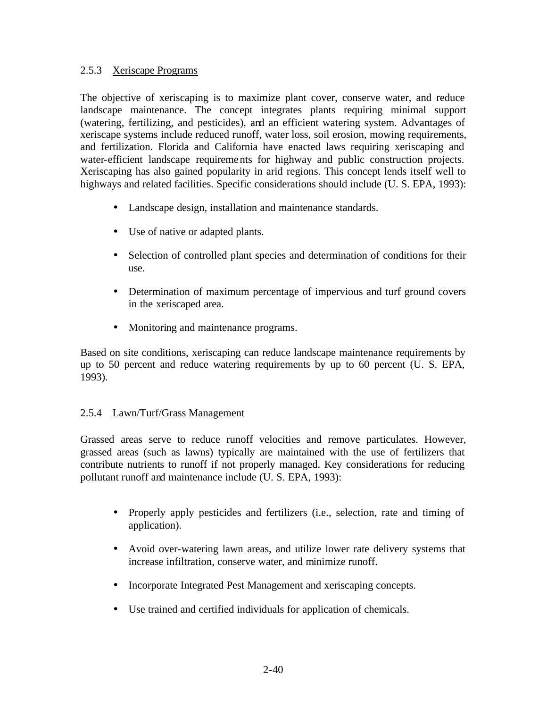### 2.5.3 Xeriscape Programs

The objective of xeriscaping is to maximize plant cover, conserve water, and reduce landscape maintenance. The concept integrates plants requiring minimal support (watering, fertilizing, and pesticides), and an efficient watering system. Advantages of xeriscape systems include reduced runoff, water loss, soil erosion, mowing requirements, and fertilization. Florida and California have enacted laws requiring xeriscaping and water-efficient landscape requirements for highway and public construction projects. Xeriscaping has also gained popularity in arid regions. This concept lends itself well to highways and related facilities. Specific considerations should include (U. S. EPA, 1993):

- Landscape design, installation and maintenance standards.
- Use of native or adapted plants.
- Selection of controlled plant species and determination of conditions for their use.
- Determination of maximum percentage of impervious and turf ground covers in the xeriscaped area.
- Monitoring and maintenance programs.

Based on site conditions, xeriscaping can reduce landscape maintenance requirements by up to 50 percent and reduce watering requirements by up to 60 percent (U. S. EPA, 1993).

## 2.5.4 Lawn/Turf/Grass Management

Grassed areas serve to reduce runoff velocities and remove particulates. However, grassed areas (such as lawns) typically are maintained with the use of fertilizers that contribute nutrients to runoff if not properly managed. Key considerations for reducing pollutant runoff and maintenance include (U. S. EPA, 1993):

- Properly apply pesticides and fertilizers (i.e., selection, rate and timing of application).
- Avoid over-watering lawn areas, and utilize lower rate delivery systems that increase infiltration, conserve water, and minimize runoff.
- Incorporate Integrated Pest Management and xeriscaping concepts.
- Use trained and certified individuals for application of chemicals.